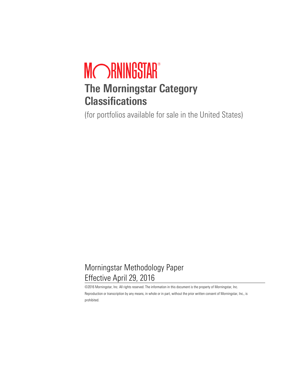# MORNINGSTAR® **The Morningstar Category Classifications**

(for portfolios available for sale in the United States)

# Morningstar Methodology Paper Effective April 29, 2016

©2016 Morningstar, Inc. All rights reserved. The information in this document is the property of Morningstar, Inc. Reproduction or transcription by any means, in whole or in part, without the prior written consent of Morningstar, Inc., is prohibited.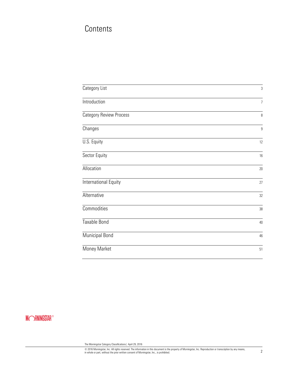# **Contents**

| Category List                  | 3              |
|--------------------------------|----------------|
| Introduction                   | $\overline{7}$ |
| <b>Category Review Process</b> | $\, 8$         |
| Changes                        | $\overline{9}$ |
| U.S. Equity                    | 12             |
| Sector Equity                  | 16             |
| Allocation                     | 20             |
| International Equity           | 27             |
| Alternative                    | 32             |
| Commodities                    | 38             |
| Taxable Bond                   | 40             |
| <b>Municipal Bond</b>          | 46             |
| Money Market                   | 51             |

# **MORNINGSTAR®**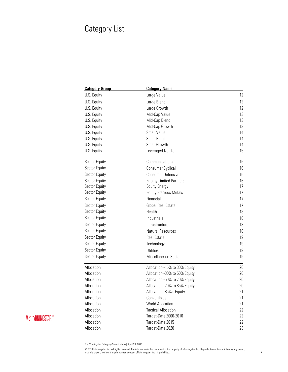# Category List

| <b>Category Group</b> | <b>Category Name</b>              |    |
|-----------------------|-----------------------------------|----|
| U.S. Equity           | Large Value                       | 12 |
| U.S. Equity           | Large Blend                       | 12 |
| U.S. Equity           | Large Growth                      | 12 |
| U.S. Equity           | Mid-Cap Value                     | 13 |
| U.S. Equity           | Mid-Cap Blend                     | 13 |
| U.S. Equity           | Mid-Cap Growth                    | 13 |
| U.S. Equity           | Small Value                       | 14 |
| U.S. Equity           | Small Blend                       | 14 |
| U.S. Equity           | Small Growth                      | 14 |
| U.S. Equity           | Leveraged Net Long                | 15 |
| Sector Equity         | Communications                    | 16 |
| Sector Equity         | <b>Consumer Cyclical</b>          | 16 |
| Sector Equity         | Consumer Defensive                | 16 |
| Sector Equity         | <b>Energy Limited Partnership</b> | 16 |
| Sector Equity         | <b>Equity Energy</b>              | 17 |
| Sector Equity         | <b>Equity Precious Metals</b>     | 17 |
| Sector Equity         | Financial                         | 17 |
| Sector Equity         | Global Real Estate                | 17 |
| Sector Equity         | Health                            | 18 |
| Sector Equity         | Industrials                       | 18 |
| Sector Equity         | Infrastructure                    | 18 |
| Sector Equity         | Natural Resources                 | 18 |
| Sector Equity         | <b>Real Estate</b>                | 19 |
| Sector Equity         | Technology                        | 19 |
| Sector Equity         | Utilities                         | 19 |
| Sector Equity         | Miscellaneous Sector              | 19 |
| Allocation            | Allocation--15% to 30% Equity     | 20 |
| Allocation            | Allocation--30% to 50% Equity     | 20 |
| Allocation            | Allocation--50% to 70% Equity     | 20 |
| Allocation            | Allocation--70% to 85% Equity     | 20 |
| Allocation            | Allocation--85%+ Equity           | 21 |
| Allocation            | Convertibles                      | 21 |
| Allocation            | <b>World Allocation</b>           | 21 |
| Allocation            | <b>Tactical Allocation</b>        | 22 |
| Allocation            | Target-Date 2000-2010             | 22 |
| Allocation            | Target-Date 2015                  | 22 |
| Allocation            | Target-Date 2020                  | 23 |

**MORNINGSTAR®** 

The Morningstar Category Classifications| April 29, 2016

© 2016 Morningstar, Inc. All rights reserved. The information in this document is the property of Morningstar, Inc. Reproduction or transcription by any means, 3<br>In whole or part, without the prior written consent of Morni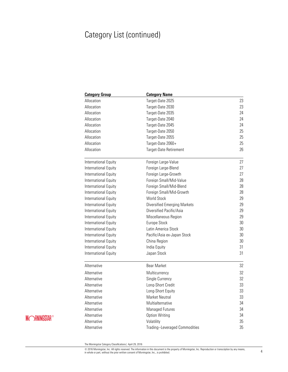# Category List (continued)

| <b>Category Group</b> | <b>Category Name</b>                |    |
|-----------------------|-------------------------------------|----|
| Allocation            | Target-Date 2025                    | 23 |
| Allocation            | Target-Date 2030                    | 23 |
| Allocation            | Target-Date 2035                    | 24 |
| Allocation            | Target-Date 2040                    | 24 |
| Allocation            | Target-Date 2045                    | 24 |
| Allocation            | Target-Date 2050                    | 25 |
| Allocation            | Target-Date 2055                    | 25 |
| Allocation            | Target-Date 2060+                   | 25 |
| Allocation            | Target-Date Retirement              | 26 |
| International Equity  | Foreign Large-Value                 | 27 |
| International Equity  | Foreign Large-Blend                 | 27 |
| International Equity  | Foreign Large-Growth                | 27 |
| International Equity  | Foreign Small/Mid-Value             | 28 |
| International Equity  | Foreign Small/Mid-Blend             | 28 |
| International Equity  | Foreign Small/Mid-Growth            | 28 |
| International Equity  | <b>World Stock</b>                  | 29 |
| International Equity  | <b>Diversified Emerging Markets</b> | 29 |
| International Equity  | Diversified Pacific/Asia            | 29 |
| International Equity  | Miscellaneous Region                | 29 |
| International Equity  | Europe Stock                        | 30 |
| International Equity  | Latin America Stock                 | 30 |
| International Equity  | Pacific/Asia ex-Japan Stock         | 30 |
| International Equity  | China Region                        | 30 |
| International Equity  | India Equity                        | 31 |
| International Equity  | Japan Stock                         | 31 |
| Alternative           | Bear Market                         | 32 |
| Alternative           | Multicurrency                       | 32 |
| Alternative           | Single Currency                     | 32 |
| Alternative           | Long-Short Credit                   | 33 |
| Alternative           | Long-Short Equity                   | 33 |
| Alternative           | Market Neutral                      | 33 |
| Alternative           | Multialternative                    | 34 |
| Alternative           | Managed Futures                     | 34 |
| Alternative           | <b>Option Writing</b>               | 34 |
| Alternative           | Volatility                          | 35 |
| Alternative           | Trading--Leveraged Commodities      | 35 |

# **MORNINGSTAR®**

The Morningstar Category Classifications| April 29, 2016

© 2016 Morningstar, Inc. All rights reserved. The information in this document is the property of Morningstar, Inc. Reproduction or transcription by any means, and the information by any means, and the information by any m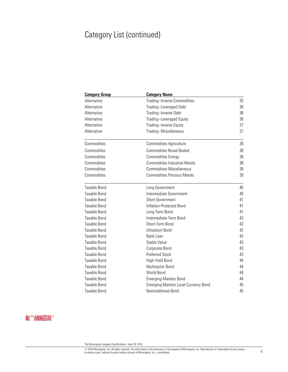# Category List (continued)

| <b>Category Group</b> | <b>Category Name</b>                        |    |
|-----------------------|---------------------------------------------|----|
| Alternative           | <b>Trading--Inverse Commodities</b>         | 35 |
| Alternative           | Trading--Leveraged Debt                     | 36 |
| Alternative           | Trading--Inverse Debt                       | 36 |
| Alternative           | Trading--Leveraged Equity                   | 36 |
| Alternative           | Trading--Inverse Equity                     | 37 |
| Alternative           | Trading--Miscellaneous                      | 37 |
| Commodities           | <b>Commodities Agriculture</b>              | 38 |
| Commodities           | <b>Commodities Broad Basket</b>             | 38 |
| Commodities           | <b>Commodities Energy</b>                   | 38 |
| Commodities           | <b>Commodities Industrial Metals</b>        | 38 |
| Commodities           | <b>Commodities Miscellaneous</b>            | 39 |
| Commodities           | <b>Commodities Precious Metals</b>          | 39 |
| Taxable Bond          | Long Government                             | 40 |
| Taxable Bond          | Intermediate Government                     | 40 |
| Taxable Bond          | <b>Short Government</b>                     | 41 |
| Taxable Bond          | Inflation-Protected Bond                    | 41 |
| Taxable Bond          | Long-Term Bond                              | 41 |
| Taxable Bond          | Intermediate-Term Bond                      | 42 |
| Taxable Bond          | Short-Term Bond                             | 42 |
| Taxable Bond          | <b>Ultrashort Bond</b>                      | 42 |
| Taxable Bond          | Bank Loan                                   | 43 |
| Taxable Bond          | Stable Value                                | 43 |
| Taxable Bond          | Corporate Bond                              | 43 |
| <b>Taxable Bond</b>   | <b>Preferred Stock</b>                      | 43 |
| Taxable Bond          | High-Yield Bond                             | 44 |
| Taxable Bond          | Multisector Bond                            | 44 |
| Taxable Bond          | World Bond                                  | 44 |
| Taxable Bond          | <b>Emerging-Markets Bond</b>                | 44 |
| <b>Taxable Bond</b>   | <b>Emerging-Markets Local-Currency Bond</b> | 45 |
| Taxable Bond          | Nontraditional Bond                         | 45 |

# **MORNINGSTAR®**

© 2016 Morningstar, Inc. All rights reserved. The information in this document is the property of Morningstar, Inc. Reproduction or transcription by any means, 5<br>In whole or part, without the prior written consent of Morni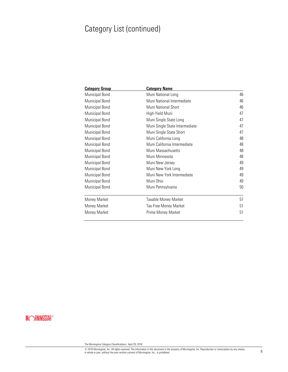# Category List (continued)

| <b>Category Group</b> | <b>Category Name</b>           |    |
|-----------------------|--------------------------------|----|
| Municipal Bond        | Muni National Long             | 46 |
| Municipal Bond        | Muni National Intermediate     | 46 |
| Municipal Bond        | Muni National Short            | 46 |
| Municipal Bond        | High-Yield Muni                | 47 |
| Municipal Bond        | Muni Single State Long         | 47 |
| Municipal Bond        | Muni Single State Intermediate | 47 |
| <b>Municipal Bond</b> | Muni Single State Short        | 47 |
| Municipal Bond        | Muni California Long           | 48 |
| Municipal Bond        | Muni California Intermediate   | 48 |
| Municipal Bond        | Muni Massachusetts             | 48 |
| Municipal Bond        | Muni Minnesota                 | 48 |
| <b>Municipal Bond</b> | Muni New Jersey                | 49 |
| Municipal Bond        | Muni New York Long             | 49 |
| Municipal Bond        | Muni New York Intermediate     | 49 |
| <b>Municipal Bond</b> | Muni Ohio                      | 49 |
| Municipal Bond        | Muni Pennsylvania              | 50 |
| Money Market          | Taxable Money Market           | 51 |
| Money Market          | Tax-Free Money Market          | 51 |
| Money Market          | Prime Money Market             | 51 |

# **MORNINGSTAR®**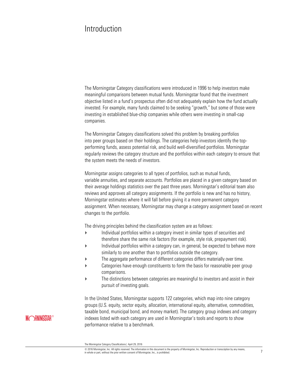# Introduction

The Morningstar Category classifications were introduced in 1996 to help investors make meaningful comparisons between mutual funds. Morningstar found that the investment objective listed in a fund's prospectus often did not adequately explain how the fund actually invested. For example, many funds claimed to be seeking "growth," but some of those were investing in established blue-chip companies while others were investing in small-cap companies.

The Morningstar Category classifications solved this problem by breaking portfolios into peer groups based on their holdings. The categories help investors identify the topperforming funds, assess potential risk, and build well-diversified portfolios. Morningstar regularly reviews the category structure and the portfolios within each category to ensure that the system meets the needs of investors.

Morningstar assigns categories to all types of portfolios, such as mutual funds, variable annuities, and separate accounts. Portfolios are placed in a given category based on their average holdings statistics over the past three years. Morningstar's editorial team also reviews and approves all category assignments. If the portfolio is new and has no history, Morningstar estimates where it will fall before giving it a more permanent category assignment. When necessary, Morningstar may change a category assignment based on recent changes to the portfolio.

The driving principles behind the classification system are as follows:

- Individual portfolios within a category invest in similar types of securities and therefore share the same risk factors (for example, style risk, prepayment risk).
- Individual portfolios within a category can, in general, be expected to behave more similarly to one another than to portfolios outside the category.
- The aggregate performance of different categories differs materially over time.
- Categories have enough constituents to form the basis for reasonable peer group comparisons.
- The distinctions between categories are meaningful to investors and assist in their pursuit of investing goals.

In the United States, Morningstar supports 122 categories, which map into nine category groups (U.S. equity, sector equity, allocation, international equity, alternative, commodities, taxable bond, municipal bond, and money market). The category group indexes and category indexes listed with each category are used in Morningstar's tools and reports to show performance relative to a benchmark.

The Morningstar Category Classifications| April 29, 2016

<sup>©</sup> 2016 Morningstar, Inc. All rights reserved. The information in this document is the property of Morningstar, Inc. Reproduction or transcription by any means, © ZUT6 Morningstar, inc. All rights reserved. The information in this document is the property of Morningstar, Inc., Heproduction or transcription by any means, Theory of Inc., inc., inc., inc., is prohibited. 7 and the pr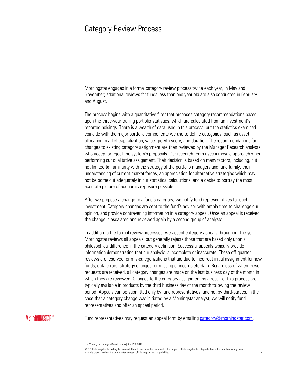### Category Review Process

Morningstar engages in a formal category review process twice each year, in May and November; additional reviews for funds less than one year old are also conducted in February and August.

The process begins with a quantitative filter that proposes category recommendations based upon the three-year trailing portfolio statistics, which are calculated from an investment's reported holdings. There is a wealth of data used in this process, but the statistics examined coincide with the major portfolio components we use to define categories, such as asset allocation, market capitalization, value-growth score, and duration. The recommendations for changes to existing category assignment are then reviewed by the Manager Research analysts who accept or reject the system's proposals. Our research team uses a mosaic approach when performing our qualitative assignment. Their decision is based on many factors, including, but not limited to: familiarity with the strategy of the portfolio managers and fund family, their understanding of current market forces, an appreciation for alternative strategies which may not be borne out adequately in our statistical calculations, and a desire to portray the most accurate picture of economic exposure possible.

After we propose a change to a fund's category, we notify fund representatives for each investment. Category changes are sent to the fund's advisor with ample time to challenge our opinion, and provide contravening information in a category appeal. Once an appeal is received the change is escalated and reviewed again by a second group of analysts.

In addition to the formal review processes, we accept category appeals throughout the year. Morningstar reviews all appeals, but generally rejects those that are based only upon a philosophical difference in the category definition. Successful appeals typically provide information demonstrating that our analysis is incomplete or inaccurate. These off-quarter reviews are reserved for mis-categorizations that are due to incorrect initial assignment for new funds, data errors, strategy changes, or missing or incomplete data. Regardless of when these requests are received, all category changes are made on the last business day of the month in which they are reviewed. Changes to the category assignment as a result of this process are typically available in products by the third business day of the month following the review period. Appeals can be submitted only by fund representatives, and not by third-parties. In the case that a category change was initiated by a Morningstar analyst, we will notify fund representatives and offer an appeal period.

### **MORNINGSTAR®**

Fund representatives may request an appeal form by emailing [category@morningstar.com.](mailto:category@morningstar.com)

The Morningstar Category Classifications| April 29, 2016

<sup>©</sup> 2016 Morningstar, Inc. All rights reserved. The information in this document is the property of Morningstar, Inc. Reproduction or transcription by any means,  $\omega$  zo to morningstar, inc. An ingitis reserved. The information in this occurrent is the property or morningstar, inc. reproduction or transcription by any means,  $8$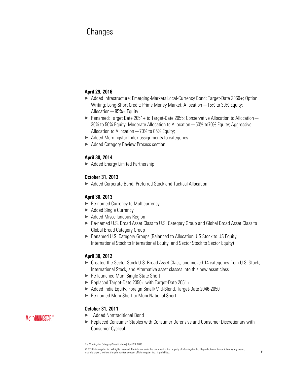# Changes

#### **April 29, 2016**

- ▶ Added Infrastructure; Emerging-Markets Local-Currency Bond; Target-Date 2060+; Option Writing; Long-Short Credit; Prime Money Market; Allocation—15% to 30% Equity; Allocation—85%+ Equity
- $\triangleright$  Renamed: Target Date 2051+ to Target-Date 2055; Conservative Allocation to Allocation 30% to 50% Equity; Moderate Allocation to Allocation—50% to70% Equity; Aggressive Allocation to Allocation—70% to 85% Equity;
- $\blacktriangleright$  Added Morningstar Index assignments to categories
- ▶ Added Category Review Process section

#### **April 30, 2014**

▶ Added Energy Limited Partnership

#### **October 31, 2013**

▶ Added Corporate Bond, Preferred Stock and Tactical Allocation

#### **April 30, 2013**

- ▶ Re-named Currency to Multicurrency
- ▶ Added Single Currency
- ▶ Added Miscellaneous Region
- ▶ Re-named U.S. Broad Asset Class to U.S. Category Group and Global Broad Asset Class to Global Broad Category Group
- ▶ Renamed U.S. Category Groups (Balanced to Allocation, US Stock to US Equity, International Stock to International Equity, and Sector Stock to Sector Equity)

#### **April 30, 2012**

- ► Created the Sector Stock U.S. Broad Asset Class, and moved 14 categories from U.S. Stock, International Stock, and Alternative asset classes into this new asset class
- ▶ Re-launched Muni Single State Short
- ▶ Replaced Target-Date 2050+ with Target-Date 2051+
- ▶ Added India Equity, Foreign Small/Mid-Blend, Target-Date 2046-2050
- ▶ Re-named Muni-Short to Muni National Short

#### **October 31, 2011**

#### × Added Nontraditional Bond

**MORNINGSTAR®** 

× Replaced Consumer Staples with Consumer Defensive and Consumer Discretionary with Consumer Cyclical

The Morningstar Category Classifications| April 29, 2016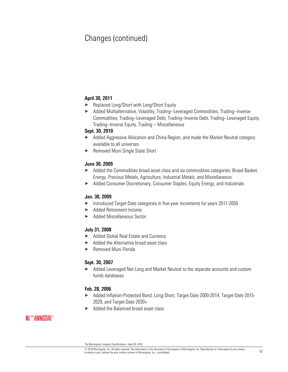# Changes (continued)

#### **April 30, 2011**

- ▶ Replaced Long/Short with Long/Short Equity
- ▶ Added Multialternative, Volatility, Trading--Leveraged Commodities, Trading--Inverse Commodities, Trading--Leveraged Debt, Trading--Inverse Debt, Trading--Leveraged Equity, Trading--Inverse Equity, Trading—Miscellaneous

#### **Sept. 30, 2010**

- ▶ Added Aggressive Allocation and China Region, and made the Market Neutral category available to all universes
- ▶ Removed Muni Single State Short

#### **June 30, 2009**

- ▶ Added the Commodities broad asset class and six commodities categories: Broad Basket, Energy, Precious Metals, Agriculture, Industrial Metals, and Miscellaneous
- ▶ Added Consumer Discretionary, Consumer Staples, Equity Energy, and Industrials

#### **Jan. 30, 2009**

- × Introduced Target-Date categories in five-year increments for years 2011-2050
- ▶ Added Retirement Income
- ▶ Added Miscellaneous Sector

#### **July 31, 2008**

- ▶ Added Global Real Estate and Currency
- $\blacktriangleright$  Added the Alternative broad asset class
- ▶ Removed Muni Florida

#### **Sept. 30, 2007**

▶ Added Leveraged Net Long and Market Neutral to the separate accounts and custom funds databases

#### **Feb. 28, 2006**

- ▶ Added Inflation-Protected Bond, Long-Short, Target-Date 2000-2014, Target-Date 2015-2029, and Target-Date 2030+
- Added the Balanced broad asset class

The Morningstar Category Classifications| April 29, 2016

<sup>©</sup> 2016 Morningstar, Inc. All rights reserved. The information in this document is the property of Morningstar, Inc. Reproduction or transcription by any means,  $\omega$  zu o wominingstar, inc. An ingins reserved. The information in this occurrient is the property or wominingstar, inc. reproduction or datiscription by any means,  $10$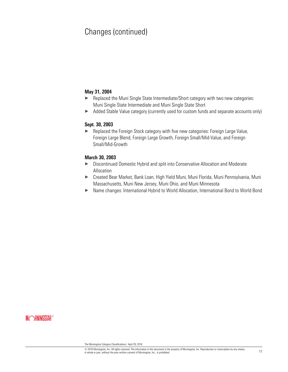# Changes (continued)

#### **May 31, 2004**

- ▶ Replaced the Muni Single State Intermediate/Short category with two new categories: Muni Single State Intermediate and Muni Single State Short
- ▶ Added Stable Value category (currently used for custom funds and separate accounts only)

#### **Sept. 30, 2003**

▶ Replaced the Foreign Stock category with five new categories: Foreign Large Value, Foreign Large Blend, Foreign Large Growth, Foreign Small/Mid-Value, and Foreign Small/Mid-Growth

#### **March 30, 2003**

- ▶ Discontinued Domestic Hybrid and split into Conservative Allocation and Moderate Allocation
- ▶ Created Bear Market, Bank Loan, High Yield Muni, Muni Florida, Muni Pennsylvania, Muni Massachusetts, Muni New Jersey, Muni Ohio, and Muni Minnesota
- × Name changes: International Hybrid to World Allocation, International Bond to World Bond

The Morningstar Category Classifications| April 29, 2016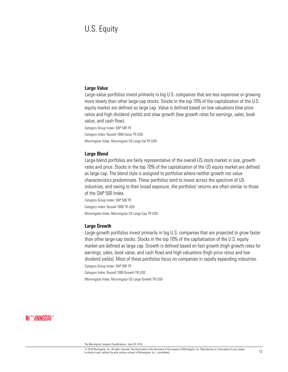# U.S. Equity

#### **Large Value**

Large-value portfolios invest primarily in big U.S. companies that are less expensive or growing more slowly than other large-cap stocks. Stocks in the top 70% of the capitalization of the U.S. equity market are defined as large cap. Value is defined based on low valuations (low price ratios and high dividend yields) and slow growth (low growth rates for earnings, sales, book value, and cash flow).

Category Group Index: S&P 500 TR Category Index: Russell 1000 Value TR USD Morningstar Index: Morningstar US Large Val TR USD

#### **Large Blend**

Large-blend portfolios are fairly representative of the overall US stock market in size, growth rates and price. Stocks in the top 70% of the capitalization of the US equity market are defined as large cap. The blend style is assigned to portfolios where neither growth nor value characteristics predominate. These portfolios tend to invest across the spectrum of US industries, and owing to their broad exposure, the portfolios' returns are often similar to those of the S&P 500 Index.

Category Group Index: S&P 500 TR Category Index: Russell 1000 TR USD Morningstar Index: Morningstar US Large Cap TR USD

#### **Large Growth**

Large-growth portfolios invest primarily in big U.S. companies that are projected to grow faster than other large-cap stocks. Stocks in the top 70% of the capitalization of the U.S. equity market are defined as large cap. Growth is defined based on fast growth (high growth rates for earnings, sales, book value, and cash flow) and high valuations (high price ratios and low dividend yields). Most of these portfolios focus on companies in rapidly expanding industries. Category Group Index: S&P 500 TR

Category Index: Russell 1000 Growth TR USD

Morningstar Index: Morningstar US Large Growth TR USD

### **MORNINGSTAR®**

© 2016 Morningstar, Inc. All rights reserved. The information in this document is the property of Morningstar, Inc. Reproduction or transcription by any means, in whole or part, inc. All rights reserved. The information in this occurrient is the property or withingstar, inc. reproduction or transcription by any means,  $12$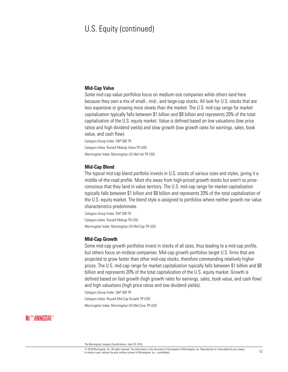## U.S. Equity (continued)

#### **Mid-Cap Value**

Some mid-cap value portfolios focus on medium-size companies while others land here because they own a mix of small-, mid-, and large-cap stocks. All look for U.S. stocks that are less expensive or growing more slowly than the market. The U.S. mid-cap range for market capitalization typically falls between \$1 billion and \$8 billion and represents 20% of the total capitalization of the U.S. equity market. Value is defined based on low valuations (low price ratios and high dividend yields) and slow growth (low growth rates for earnings, sales, book value, and cash flow).

Category Group Index: S&P 500 TR

Category Index: Russell Midcap Value TR USD

Morningstar Index: Morningstar US Mid Val TR USD

#### **Mid-Cap Blend**

The typical mid-cap blend portfolio invests in U.S. stocks of various sizes and styles, giving it a middle-of-the-road profile. Most shy away from high-priced growth stocks but aren't so priceconscious that they land in value territory. The U.S. mid-cap range for market capitalization typically falls between \$1 billion and \$8 billion and represents 20% of the total capitalization of the U.S. equity market. The blend style is assigned to portfolios where neither growth nor value characteristics predominate.

Category Group Index: S&P 500 TR Category Index: Russell Midcap TR USD Morningstar Index: Morningstar US Mid Cap TR USD

#### **Mid-Cap Growth**

Some mid-cap growth portfolios invest in stocks of all sizes, thus leading to a mid-cap profile, but others focus on midsize companies. Mid-cap growth portfolios target U.S. firms that are projected to grow faster than other mid-cap stocks, therefore commanding relatively higher prices. The U.S. mid-cap range for market capitalization typically falls between \$1 billion and \$8 billion and represents 20% of the total capitalization of the U.S. equity market. Growth is defined based on fast growth (high growth rates for earnings, sales, book value, and cash flow) and high valuations (high price ratios and low dividend yields).

Category Group Index: S&P 500 TR

Category Index: Russell Mid Cap Growth TR USD

Morningstar Index: Morningstar US Mid Core TR USD

The Morningstar Category Classifications| April 29, 2016

<sup>©</sup> 2016 Morningstar, Inc. All rights reserved. The information in this document is the property of Morningstar, Inc. Reproduction or transcription by any means,  $\omega$  zo io wormingstar, inc. An ingins reserved. The information in this occurrent is the property or wormingstar, inc. reproduction or datiscription by any means,  $13$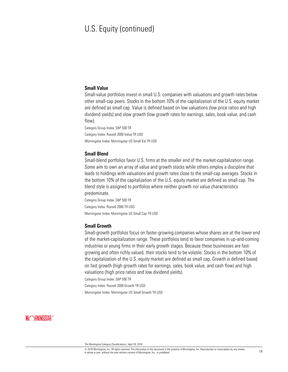# U.S. Equity (continued)

#### **Small Value**

Small-value portfolios invest in small U.S. companies with valuations and growth rates below other small-cap peers. Stocks in the bottom 10% of the capitalization of the U.S. equity market are defined as small cap. Value is defined based on low valuations (low price ratios and high dividend yields) and slow growth (low growth rates for earnings, sales, book value, and cash flow).

Category Group Index: S&P 500 TR Category Index: Russell 2000 Value TR USD Morningstar Index: Morningstar US Small Val TR USD

#### **Small Blend**

Small-blend portfolios favor U.S. firms at the smaller end of the market-capitalization range. Some aim to own an array of value and growth stocks while others employ a discipline that leads to holdings with valuations and growth rates close to the small-cap averages. Stocks in the bottom 10% of the capitalization of the U.S. equity market are defined as small cap. The blend style is assigned to portfolios where neither growth nor value characteristics predominate.

Category Group Index: S&P 500 TR Category Index: Russell 2000 TR USD Morningstar Index: Morningstar US Small Cap TR USD

#### **Small Growth**

Small-growth portfolios focus on faster-growing companies whose shares are at the lower end of the market-capitalization range. These portfolios tend to favor companies in up-and-coming industries or young firms in their early growth stages. Because these businesses are fastgrowing and often richly valued, their stocks tend to be volatile. Stocks in the bottom 10% of the capitalization of the U.S. equity market are defined as small cap. Growth is defined based on fast growth (high growth rates for earnings, sales, book value, and cash flow) and high valuations (high price ratios and low dividend yields).

Category Group Index: S&P 500 TR

Category Index: Russell 2000 Growth TR USD

Morningstar Index: Morningstar US Small Growth TR USD

The Morningstar Category Classifications| April 29, 2016

<sup>©</sup> 2016 Morningstar, Inc. All rights reserved. The information in this document is the property of Morningstar, Inc. Reproduction or transcription by any means,  $\omega$  zo ro wonningstar, inc. All magnes reserved. The monmentation in universection of the property of wonningstar, inc., is prohibited.  $14$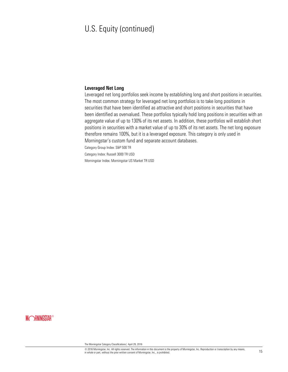# U.S. Equity (continued)

#### **Leveraged Net Long**

Leveraged net long portfolios seek income by establishing long and short positions in securities. The most common strategy for leveraged net long portfolios is to take long positions in securities that have been identified as attractive and short positions in securities that have been identified as overvalued. These portfolios typically hold long positions in securities with an aggregate value of up to 130% of its net assets. In addition, these portfolios will establish short positions in securities with a market value of up to 30% of its net assets. The net long exposure therefore remains 100%, but it is a leveraged exposure. This category is only used in Morningstar's custom fund and separate account databases.

Category Group Index: S&P 500 TR

Category Index: Russell 3000 TR USD

Morningstar Index: Morningstar US Market TR USD

The Morningstar Category Classifications| April 29, 2016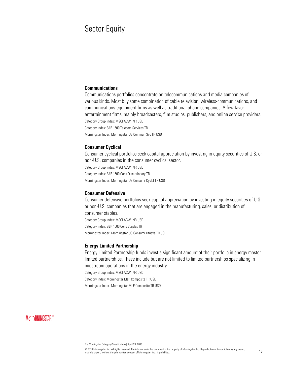# Sector Equity

#### **Communications**

Communications portfolios concentrate on telecommunications and media companies of various kinds. Most buy some combination of cable television, wireless-communications, and communications-equipment firms as well as traditional phone companies. A few favor entertainment firms, mainly broadcasters, film studios, publishers, and online service providers. Category Group Index: MSCI ACWI NR USD Category Index: S&P 1500 Telecom Services TR

Morningstar Index: Morningstar US Commun Svc TR USD

#### **Consumer Cyclical**

Consumer cyclical portfolios seek capital appreciation by investing in equity securities of U.S. or non-U.S. companies in the consumer cyclical sector.

Category Group Index: MSCI ACWI NR USD

Category Index: S&P 1500 Cons Discretionary TR

Morningstar Index: Morningstar US Consumr Cyclcl TR USD

#### **Consumer Defensive**

Consumer defensive portfolios seek capital appreciation by investing in equity securities of U.S. or non-U.S. companies that are engaged in the manufacturing, sales, or distribution of consumer staples. Category Group Index: MSCI ACWI NR USD Category Index: S&P 1500 Cons Staples TR Morningstar Index: Morningstar US Consumr Dfnsve TR USD

#### **Energy Limited Partnership**

Energy Limited Partnership funds invest a significant amount of their portfolio in energy master limited partnerships. These include but are not limited to limited partnerships specializing in midstream operations in the energy industry.

Category Group Index: MSCI ACWI NR USD

Category Index: Morningstar MLP Composite TR USD

Morningstar Index: Morningstar MLP Composite TR USD

### **MORNINGSTAR®**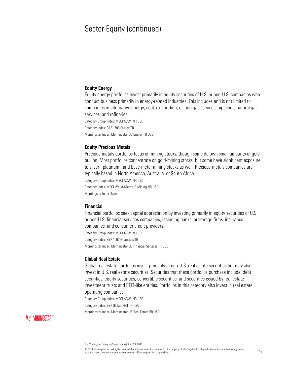### Sector Equity (continued)

#### **Equity Energy**

Equity energy portfolios invest primarily in equity securities of U.S. or non-U.S. companies who conduct business primarily in energy-related industries. This includes and is not limited to companies in alternative energy, coal, exploration, oil and gas services, pipelines, natural gas services, and refineries. Category Group Index: MSCI ACWI NR USD

Category Index: S&P 1500 Energy TR

Morningstar Index: Morningstar US Energy TR USD

#### **Equity Precious Metals**

Precious-metals portfolios focus on mining stocks, though some do own small amounts of gold bullion. Most portfolios concentrate on gold-mining stocks, but some have significant exposure to silver-, platinum-, and base-metal-mining stocks as well. Precious-metals companies are typically based in North America, Australia, or South Africa.

Category Group Index: MSCI ACWI NR USD

Category Index: MSCI World/Metals & Mining NR USD

Morningstar Index: None

#### **Financial**

Financial portfolios seek capital appreciation by investing primarily in equity securities of U.S. or non-U.S. financial-services companies, including banks, brokerage firms, insurance companies, and consumer credit providers.

Category Group Index: MSCI ACWI NR USD

Category Index: S&P 1500 Financials TR

Morningstar Index: Morningstar US Financial Services TR USD

#### **Global Real Estate**

Global real estate portfolios invest primarily in non-U.S. real estate securities but may also invest in U.S. real estate securities. Securities that these portfolios purchase include: debt securities, equity securities, convertible securities, and securities issued by real estate investment trusts and REIT-like entities. Portfolios in this category also invest in real estate operating companies.

Category Group Index: MSCI ACWI NR USD

Category Index: S&P Global REIT TR USD

Morningstar Index: Morningstar US Real Estate PR USD

### **MORNINGSTAR®**

© 2016 Morningstar, Inc. All rights reserved. The information in this document is the property of Morningstar, Inc. Reproduction or transcription by any means, in whole or part, inc. All rights reserved. The information in this occurrient is the property or withingstar, inc. reproduction or transcription by any means,  $17$ 

The Morningstar Category Classifications| April 29, 2016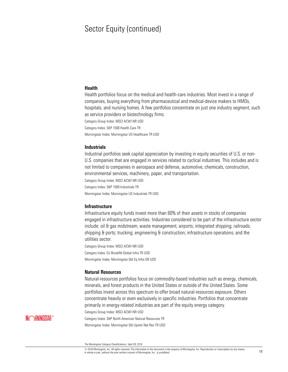### Sector Equity (continued)

#### **Health**

Health portfolios focus on the medical and health-care industries. Most invest in a range of companies, buying everything from pharmaceutical and medical-device makers to HMOs, hospitals, and nursing homes. A few portfolios concentrate on just one industry segment, such as service providers or biotechnology firms. Category Group Index: MSCI ACWI NR USD

Category Index: S&P 1500 Health Care TR

Morningstar Index: Morningstar US Healthcare TR USD

#### **Industrials**

Industrial portfolios seek capital appreciation by investing in equity securities of U.S. or non-U.S. companies that are engaged in services related to cyclical industries. This includes and is not limited to companies in aerospace and defense, automotive, chemicals, construction, environmental services, machinery, paper, and transportation.

Category Group Index: MSCI ACWI NR USD

Category Index: S&P 1500 Industrials TR

Morningstar Index: Morningstar US Industrials TR USD

#### **Infrastructure**

Infrastructure equity funds invest more than 60% of their assets in stocks of companies engaged in infrastructure activities. Industries considered to be part of the infrastructure sector include: oil & gas midstream; waste management; airports; integrated shipping; railroads; shipping & ports; trucking; engineering & construction; infrastructure operations; and the utilities sector.

Category Group Index: MSCI ACWI NR USD Category Index: DJ Brookfld Global Infra TR USD Morningstar Index: Morningstar Gbl Eq Infra GR USD

#### **Natural Resources**

Natural-resources portfolios focus on commodity-based industries such as energy, chemicals, minerals, and forest products in the United States or outside of the United States. Some portfolios invest across this spectrum to offer broad natural-resources exposure. Others concentrate heavily or even exclusively in specific industries. Portfolios that concentrate primarily in energy-related industries are part of the equity energy category.

Category Group Index: MSCI ACWI NR USD

Category Index: S&P North American Natural Resources TR

Morningstar Index: Morningstar Gbl Upstm Nat Res TR USD

The Morningstar Category Classifications| April 29, 2016

<sup>©</sup> 2016 Morningstar, Inc. All rights reserved. The information in this document is the property of Morningstar, Inc. Reproduction or transcription by any means,  $\omega$  zo it withingstar, inc. an ityms reserved. The information in this touculment is the property of Morningstar, inc., is prohibited. in whole or part, without the prior written consent of Morningstar, Inc., is prohibit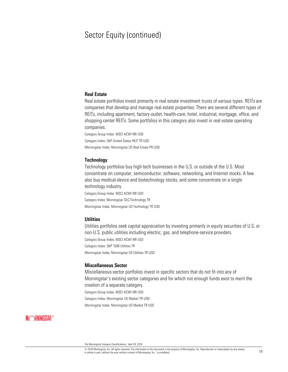# Sector Equity (continued)

#### **Real Estate**

Real estate portfolios invest primarily in real estate investment trusts of various types. REITs are companies that develop and manage real estate properties. There are several different types of REITs, including apartment, factory-outlet, health-care, hotel, industrial, mortgage, office, and shopping center REITs. Some portfolios in this category also invest in real estate operating companies.

Category Group Index: MSCI ACWI NR USD Category Index: S&P United States REIT TR USD Morningstar Index: Morningstar US Real Estate PR USD

#### **Technology**

Technology portfolios buy high-tech businesses in the U.S. or outside of the U.S. Most concentrate on computer, semiconductor, software, networking, and Internet stocks. A few also buy medical-device and biotechnology stocks, and some concentrate on a single technology industry.

Category Group Index: MSCI ACWI NR USD Category Index: Morningstar SEC/Technology TR Morningstar Index: Morningstar US Technology TR USD

#### **Utilities**

Utilities portfolios seek capital appreciation by investing primarily in equity securities of U.S. or non-U.S. public utilities including electric, gas, and telephone-service providers. Category Group Index: MSCI ACWI NR USD Category Index: S&P 1500 Utilities TR

Morningstar Index: Morningstar US Utilities TR USD

#### **Miscellaneous Sector**

Miscellaneous-sector portfolios invest in specific sectors that do not fit into any of Morningstar's existing sector categories and for which not enough funds exist to merit the creation of a separate category. Category Group Index: MSCI ACWI NR USD Category Index: Morningstar US Market TR USD

Morningstar Index: Morningstar US Market TR USD

The Morningstar Category Classifications| April 29, 2016

<sup>©</sup> 2016 Morningstar, Inc. All rights reserved. The information in this document is the property of Morningstar, Inc. Reproduction or transcription by any means, in whole or part, inc. All rights reserved. The information in this occurrient is the property or withingstar, inc. reproduction or transcription by any means, the prior written consent of Morningstar, Inc., is prohibited.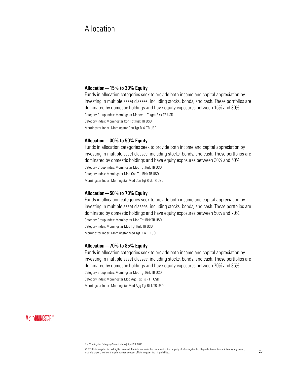# Allocation

#### **Allocation—15% to 30% Equity**

Funds in allocation categories seek to provide both income and capital appreciation by investing in multiple asset classes, including stocks, bonds, and cash. These portfolios are dominated by domestic holdings and have equity exposures between 15% and 30%. Category Group Index: Morningstar Moderate Target Risk TR USD Category Index: Morningstar Con Tgt Risk TR USD Morningstar Index: Morningstar Con Tgt Risk TR USD

#### **Allocation—30% to 50% Equity**

Funds in allocation categories seek to provide both income and capital appreciation by investing in multiple asset classes, including stocks, bonds, and cash. These portfolios are dominated by domestic holdings and have equity exposures between 30% and 50%. Category Group Index: Morningstar Mod Tgt Risk TR USD Category Index: Morningstar Mod Con Tgt Risk TR USD Morningstar Index: Morningstar Mod Con Tgt Risk TR USD

#### **Allocation—50% to 70% Equity**

Funds in allocation categories seek to provide both income and capital appreciation by investing in multiple asset classes, including stocks, bonds, and cash. These portfolios are dominated by domestic holdings and have equity exposures between 50% and 70%. Category Group Index: Morningstar Mod Tgt Risk TR USD Category Index: Morningstar Mod Tgt Risk TR USD Morningstar Index: Morningstar Mod Tgt Risk TR USD

#### **Allocation—70% to 85% Equity**

Funds in allocation categories seek to provide both income and capital appreciation by investing in multiple asset classes, including stocks, bonds, and cash. These portfolios are dominated by domestic holdings and have equity exposures between 70% and 85%.

Category Group Index: Morningstar Mod Tgt Risk TR USD

Category Index: Morningstar Mod Agg Tgt Risk TR USD

Morningstar Index: Morningstar Mod Agg Tgt Risk TR USD

### **MORNINGSTAR®**

© 2016 Morningstar, Inc. All rights reserved. The information in this document is the property of Morningstar, Inc. Reproduction or transcription by any means, with one of the primary of the prior with the proceduct the material continent is une property or withingstar, inc. reproduction or transcription by any means, 20 in the prior written consent of Morningstar, Inc., is prohi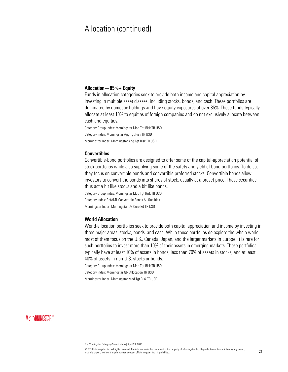#### **Allocation—85%+ Equity**

Funds in allocation categories seek to provide both income and capital appreciation by investing in multiple asset classes, including stocks, bonds, and cash. These portfolios are dominated by domestic holdings and have equity exposures of over 85%. These funds typically allocate at least 10% to equities of foreign companies and do not exclusively allocate between cash and equities.

Category Group Index: Morningstar Mod Tgt Risk TR USD Category Index: Morningstar Agg Tgt Risk TR USD Morningstar Index: Morningstar Agg Tgt Risk TR USD

#### **Convertibles**

Convertible-bond portfolios are designed to offer some of the capital-appreciation potential of stock portfolios while also supplying some of the safety and yield of bond portfolios. To do so, they focus on convertible bonds and convertible preferred stocks. Convertible bonds allow investors to convert the bonds into shares of stock, usually at a preset price. These securities thus act a bit like stocks and a bit like bonds.

Category Group Index: Morningstar Mod Tgt Risk TR USD

Category Index: BofAML Convertible Bonds All Qualities

Morningstar Index: Morningstar US Core Bd TR USD

#### **World Allocation**

World-allocation portfolios seek to provide both capital appreciation and income by investing in three major areas: stocks, bonds, and cash. While these portfolios do explore the whole world, most of them focus on the U.S., Canada, Japan, and the larger markets in Europe. It is rare for such portfolios to invest more than 10% of their assets in emerging markets. These portfolios typically have at least 10% of assets in bonds, less than 70% of assets in stocks, and at least 40% of assets in non-U.S. stocks or bonds.

Category Group Index: Morningstar Mod Tgt Risk TR USD

Category Index: Morningstar Gbl Allocation TR USD

Morningstar Index: Morningstar Mod Tgt Risk TR USD

### **MORNINGSTAR®**

© 2016 Morningstar, Inc. All rights reserved. The information in this document is the property of Morningstar, Inc. Reproduction or transcription by any means,  $\omega$  zo ro morningstar, inc. An ingins reserved. The information in this occurrent is the property or morningstar, inc. reproduction or datiscription by any means,  $21$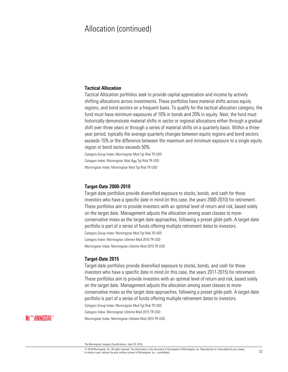#### **Tactical Allocation**

Tactical Allocation portfolios seek to provide capital appreciation and income by actively shifting allocations across investments. These portfolios have material shifts across equity regions, and bond sectors on a frequent basis. To qualify for the tactical allocation category, the fund must have minimum exposures of 10% in bonds and 20% in equity. Next, the fund must historically demonstrate material shifts in sector or regional allocations either through a gradual shift over three years or through a series of material shifts on a quarterly basis. Within a threeyear period, typically the average quarterly changes between equity regions and bond sectors exceeds 15% or the difference between the maximum and minimum exposure to a single equity region or bond sector exceeds 50%.

Category Group Index: Morningstar Mod Tgt Risk TR USD Category Index: Morningstar Mod Agg Tgt Risk TR USD

Morningstar Index: Morningstar Mod Tgt Risk TR USD

#### **Target-Date 2000-2010**

Target-date portfolios provide diversified exposure to stocks, bonds, and cash for those investors who have a specific date in mind (in this case, the years 2000-2010) for retirement. These portfolios aim to provide investors with an optimal level of return and risk, based solely on the target date. Management adjusts the allocation among asset classes to moreconservative mixes as the target date approaches, following a preset glide path. A target-date portfolio is part of a series of funds offering multiple retirement dates to investors.

Category Group Index: Morningstar Mod Tgt Risk TR USD

Category Index: Morningstar Lifetime Mod 2010 TR USD

Morningstar Index: Morningstar Lifetime Mod 2010 TR USD

#### **Target-Date 2015**

Target-date portfolios provide diversified exposure to stocks, bonds, and cash for those investors who have a specific date in mind (in this case, the years 2011-2015) for retirement. These portfolios aim to provide investors with an optimal level of return and risk, based solely on the target date. Management adjusts the allocation among asset classes to moreconservative mixes as the target date approaches, following a preset glide path. A target-date portfolio is part of a series of funds offering multiple retirement dates to investors.

Category Group Index: Morningstar Mod Tgt Risk TR USD

Category Index: Morningstar Lifetime Mod 2015 TR USD

Morningstar Index: Morningstar Lifetime Mod 2015 TR USD

© 2016 Morningstar, Inc. All rights reserved. The information in this document is the property of Morningstar, Inc. Reproduction or transcription by any means, with one of the primary of the prior with the proceduct the material continent is the property of Morningstar, inc. reproduction or transcription by any means, 22 and the prior written consent of Morningstar, Inc., is proh

The Morningstar Category Classifications| April 29, 2016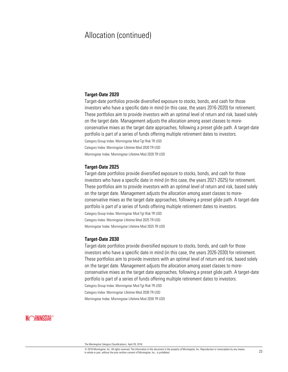#### **Target-Date 2020**

Target-date portfolios provide diversified exposure to stocks, bonds, and cash for those investors who have a specific date in mind (in this case, the years 2016-2020) for retirement. These portfolios aim to provide investors with an optimal level of return and risk, based solely on the target date. Management adjusts the allocation among asset classes to moreconservative mixes as the target date approaches, following a preset glide path. A target-date portfolio is part of a series of funds offering multiple retirement dates to investors. Category Group Index: Morningstar Mod Tgt Risk TR USD Category Index: Morningstar Lifetime Mod 2020 TR USD Morningstar Index: Morningstar Lifetime Mod 2020 TR USD

#### **Target-Date 2025**

Target-date portfolios provide diversified exposure to stocks, bonds, and cash for those investors who have a specific date in mind (in this case, the years 2021-2025) for retirement. These portfolios aim to provide investors with an optimal level of return and risk, based solely on the target date. Management adjusts the allocation among asset classes to moreconservative mixes as the target date approaches, following a preset glide path. A target-date portfolio is part of a series of funds offering multiple retirement dates to investors. Category Group Index: Morningstar Mod Tgt Risk TR USD Category Index: Morningstar Lifetime Mod 2025 TR USD

Morningstar Index: Morningstar Lifetime Mod 2025 TR USD

#### **Target-Date 2030**

Target-date portfolios provide diversified exposure to stocks, bonds, and cash for those investors who have a specific date in mind (in this case, the years 2026-2030) for retirement. These portfolios aim to provide investors with an optimal level of return and risk, based solely on the target date. Management adjusts the allocation among asset classes to moreconservative mixes as the target date approaches, following a preset glide path. A target-date portfolio is part of a series of funds offering multiple retirement dates to investors.

Category Group Index: Morningstar Mod Tgt Risk TR USD

Category Index: Morningstar Lifetime Mod 2030 TR USD

Morningstar Index: Morningstar Lifetime Mod 2030 TR USD

The Morningstar Category Classifications| April 29, 2016

<sup>©</sup> 2016 Morningstar, Inc. All rights reserved. The information in this document is the property of Morningstar, Inc. Reproduction or transcription by any means, in whole or part, inc. All rights reserved. The information in this occurrient is the property or withingstar, inc. reproduction or transcription by any means, 23 in the prior written consent of Morningstar, Inc., is prohi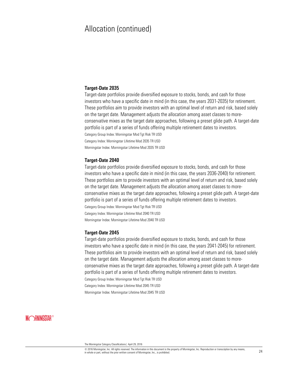#### **Target-Date 2035**

Target-date portfolios provide diversified exposure to stocks, bonds, and cash for those investors who have a specific date in mind (in this case, the years 2031-2035) for retirement. These portfolios aim to provide investors with an optimal level of return and risk, based solely on the target date. Management adjusts the allocation among asset classes to moreconservative mixes as the target date approaches, following a preset glide path. A target-date portfolio is part of a series of funds offering multiple retirement dates to investors.

Category Group Index: Morningstar Mod Tgt Risk TR USD

Category Index: Morningstar Lifetime Mod 2035 TR USD

Morningstar Index: Morningstar Lifetime Mod 2035 TR USD

#### **Target-Date 2040**

Target-date portfolios provide diversified exposure to stocks, bonds, and cash for those investors who have a specific date in mind (in this case, the years 2036-2040) for retirement. These portfolios aim to provide investors with an optimal level of return and risk, based solely on the target date. Management adjusts the allocation among asset classes to moreconservative mixes as the target date approaches, following a preset glide path. A target-date portfolio is part of a series of funds offering multiple retirement dates to investors.

Category Group Index: Morningstar Mod Tgt Risk TR USD Category Index: Morningstar Lifetime Mod 2040 TR USD Morningstar Index: Morningstar Lifetime Mod 2040 TR USD

#### **Target-Date 2045**

Target-date portfolios provide diversified exposure to stocks, bonds, and cash for those investors who have a specific date in mind (in this case, the years 2041-2045) for retirement. These portfolios aim to provide investors with an optimal level of return and risk, based solely on the target date. Management adjusts the allocation among asset classes to moreconservative mixes as the target date approaches, following a preset glide path. A target-date portfolio is part of a series of funds offering multiple retirement dates to investors.

Category Group Index: Morningstar Mod Tgt Risk TR USD

Category Index: Morningstar Lifetime Mod 2045 TR USD

Morningstar Index: Morningstar Lifetime Mod 2045 TR USD

### **MORNINGSTAR®**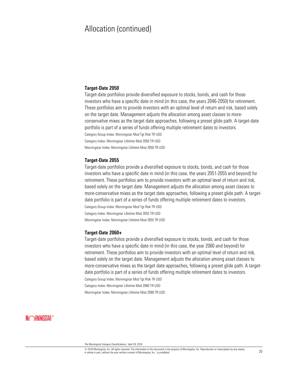#### **Target-Date 2050**

Target-date portfolios provide diversified exposure to stocks, bonds, and cash for those investors who have a specific date in mind (in this case, the years 2046-2050) for retirement. These portfolios aim to provide investors with an optimal level of return and risk, based solely on the target date. Management adjusts the allocation among asset classes to moreconservative mixes as the target date approaches, following a preset glide path. A target-date portfolio is part of a series of funds offering multiple retirement dates to investors.

Category Group Index: Morningstar Mod Tgt Risk TR USD

Category Index: Morningstar Lifetime Mod 2050 TR USD

Morningstar Index: Morningstar Lifetime Mod 2050 TR USD

#### **Target-Date 2055**

Target-date portfolios provide a diversified exposure to stocks, bonds, and cash for those investors who have a specific date in mind (in this case, the years 2051-2055 and beyond) for retirement. These portfolios aim to provide investors with an optimal level of return and risk, based solely on the target date. Management adjusts the allocation among asset classes to more-conservative mixes as the target date approaches, following a preset glide path. A targetdate portfolio is part of a series of funds offering multiple retirement dates to investors.

Category Group Index: Morningstar Mod Tgt Risk TR USD Category Index: Morningstar Lifetime Mod 2055 TR USD Morningstar Index: Morningstar Lifetime Mod 2055 TR USD

#### **Target-Date 2060+**

Target-date portfolios provide a diversified exposure to stocks, bonds, and cash for those investors who have a specific date in mind (in this case, the year 2060 and beyond) for retirement. These portfolios aim to provide investors with an optimal level of return and risk, based solely on the target date. Management adjusts the allocation among asset classes to more-conservative mixes as the target date approaches, following a preset glide path. A targetdate portfolio is part of a series of funds offering multiple retirement dates to investors. Category Group Index: Morningstar Mod Tgt Risk TR USD

Category Index: Morningstar Lifetime Mod 2060 TR USD

Morningstar Index: Morningstar Lifetime Mod 2060 TR USD

### **MORNINGSTAR®**

© 2016 Morningstar, Inc. All rights reserved. The information in this document is the property of Morningstar, Inc. Reproduction or transcription by any means,  $\omega$  zo io wormingstar, inc. An ingins reserved. The imormation in this occurrent is the property or wormingstar, inc. reproduction or transcription by any means,  $25$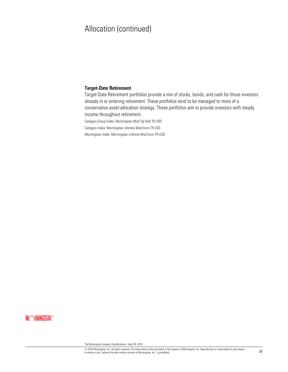#### **Target-Date Retirement**

Target-Date Retirement portfolios provide a mix of stocks, bonds, and cash for those investors already in or entering retirement. These portfolios tend to be managed to more of a conservative asset-allocation strategy. These portfolios aim to provide investors with steady income throughout retirement.

Category Group Index: Morningstar Mod Tgt Risk TR USD

Category Index: Morningstar Lifetime Mod Incm TR USD

Morningstar Index: Morningstar Lifetime Mod Incm TR USD

### **MORNINGSTAR®**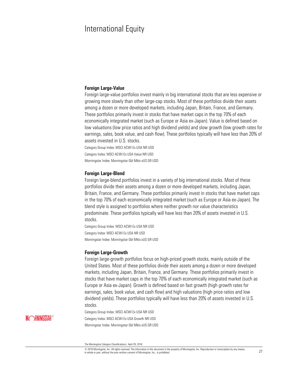## International Equity

#### **Foreign Large-Value**

Foreign large-value portfolios invest mainly in big international stocks that are less expensive or growing more slowly than other large-cap stocks. Most of these portfolios divide their assets among a dozen or more developed markets, including Japan, Britain, France, and Germany. These portfolios primarily invest in stocks that have market caps in the top 70% of each economically integrated market (such as Europe or Asia ex-Japan). Value is defined based on low valuations (low price ratios and high dividend yields) and slow growth (low growth rates for earnings, sales, book value, and cash flow). These portfolios typically will have less than 20% of assets invested in U.S. stocks.

Category Group Index: MSCI ACWI Ex USA NR USD Category Index: MSCI ACWI Ex USA Value NR USD Morningstar Index: Morningstar Gbl Mkts xUS GR USD

#### **Foreign Large-Blend**

Foreign large-blend portfolios invest in a variety of big international stocks. Most of these portfolios divide their assets among a dozen or more developed markets, including Japan, Britain, France, and Germany. These portfolios primarily invest in stocks that have market caps in the top 70% of each economically integrated market (such as Europe or Asia ex-Japan). The blend style is assigned to portfolios where neither growth nor value characteristics predominate. These portfolios typically will have less than 20% of assets invested in U.S. stocks.

Category Group Index: MSCI ACWI Ex USA NR USD Category Index: MSCI ACWI Ex USA NR USD Morningstar Index: Morningstar Gbl Mkts xUS GR USD

#### **Foreign Large-Growth**

Foreign large-growth portfolios focus on high-priced growth stocks, mainly outside of the United States. Most of these portfolios divide their assets among a dozen or more developed markets, including Japan, Britain, France, and Germany. These portfolios primarily invest in stocks that have market caps in the top 70% of each economically integrated market (such as Europe or Asia ex-Japan). Growth is defined based on fast growth (high growth rates for earnings, sales, book value, and cash flow) and high valuations (high price ratios and low dividend yields). These portfolios typically will have less than 20% of assets invested in U.S. stocks.

Category Group Index: MSCI ACWI Ex USA NR USD Category Index: MSCI ACWI Ex USA Growth NR USD Morningstar Index: Morningstar Gbl Mkts xUS GR USD

© 2016 Morningstar, Inc. All rights reserved. The information in this document is the property of Morningstar, Inc. Reproduction or transcription by any means, in whole or part, inc. All rights reserved. The information in this occurrient is the property or withingstar, inc. reproduction or transcription by any means, 27 in the prior written consent of Morningstar, Inc., is prohi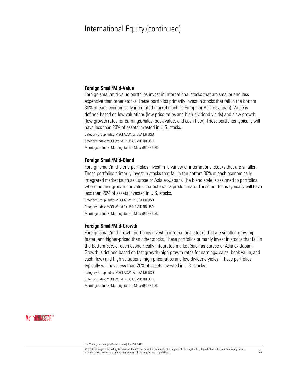#### **Foreign Small/Mid-Value**

Foreign small/mid-value portfolios invest in international stocks that are smaller and less expensive than other stocks. These portfolios primarily invest in stocks that fall in the bottom 30% of each economically integrated market (such as Europe or Asia ex-Japan). Value is defined based on low valuations (low price ratios and high dividend yields) and slow growth (low growth rates for earnings, sales, book value, and cash flow). These portfolios typically will have less than 20% of assets invested in U.S. stocks.

Category Group Index: MSCI ACWI Ex USA NR USD Category Index: MSCI World Ex USA SMID NR USD Morningstar Index: Morningstar Gbl Mkts xUS GR USD

#### **Foreign Small/Mid-Blend**

Foreign small/mid-blend portfolios invest in a variety of international stocks that are smaller. These portfolios primarily invest in stocks that fall in the bottom 30% of each economically integrated market (such as Europe or Asia ex-Japan). The blend style is assigned to portfolios where neither growth nor value characteristics predominate. These portfolios typically will have less than 20% of assets invested in U.S. stocks. Category Group Index: MSCI ACWI Ex USA NR USD

Category Index: MSCI World Ex USA SMID NR USD Morningstar Index: Morningstar Gbl Mkts xUS GR USD

#### **Foreign Small/Mid-Growth**

Foreign small/mid-growth portfolios invest in international stocks that are smaller, growing faster, and higher-priced than other stocks. These portfolios primarily invest in stocks that fall in the bottom 30% of each economically integrated market (such as Europe or Asia ex-Japan). Growth is defined based on fast growth (high growth rates for earnings, sales, book value, and cash flow) and high valuations (high price ratios and low dividend yields). These portfolios typically will have less than 20% of assets invested in U.S. stocks.

Category Group Index: MSCI ACWI Ex USA NR USD

Category Index: MSCI World Ex USA SMID NR USD

Morningstar Index: Morningstar Gbl Mkts xUS GR USD

### **MORNINGSTAR®**

© 2016 Morningstar, Inc. All rights reserved. The information in this document is the property of Morningstar, Inc. Reproduction or transcription by any means,  $\omega$  zo to morningstar, inc. An ingitis reserved. The information in this occurrent is the property or morningstar, inc. reproduction or transcription by any means,  $28$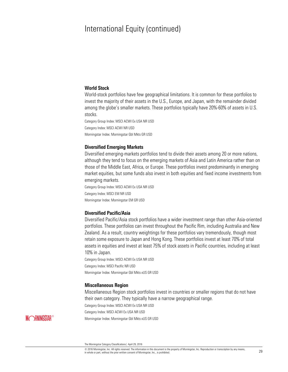#### **World Stock**

World-stock portfolios have few geographical limitations. It is common for these portfolios to invest the majority of their assets in the U.S., Europe, and Japan, with the remainder divided among the globe's smaller markets. These portfolios typically have 20%-60% of assets in U.S. stocks.

Category Group Index: MSCI ACWI Ex USA NR USD Category Index: MSCI ACWI NR USD Morningstar Index: Morningstar Gbl Mkts GR USD

#### **Diversified Emerging Markets**

Diversified emerging-markets portfolios tend to divide their assets among 20 or more nations, although they tend to focus on the emerging markets of Asia and Latin America rather than on those of the Middle East, Africa, or Europe. These portfolios invest predominantly in emerging market equities, but some funds also invest in both equities and fixed income investments from emerging markets.

Category Group Index: MSCI ACWI Ex USA NR USD Category Index: MSCI EM NR USD Morningstar Index: Morningstar EM GR USD

#### **Diversified Pacific/Asia**

Diversified Pacific/Asia stock portfolios have a wider investment range than other Asia-oriented portfolios. These portfolios can invest throughout the Pacific Rim, including Australia and New Zealand. As a result, country weightings for these portfolios vary tremendously, though most retain some exposure to Japan and Hong Kong. These portfolios invest at least 70% of total assets in equities and invest at least 75% of stock assets in Pacific countries, including at least 10% in Japan.

Category Group Index: MSCI ACWI Ex USA NR USD Category Index: MSCI Pacific NR USD Morningstar Index: Morningstar Gbl Mkts xUS GR USD

#### **Miscellaneous Region**

Miscellaneous Region stock portfolios invest in countries or smaller regions that do not have their own category. They typically have a narrow geographical range.

Category Group Index: MSCI ACWI Ex USA NR USD

Category Index: MSCI ACWI Ex USA NR USD

Morningstar Index: Morningstar Gbl Mkts xUS GR USD

### **MORNINGSTAR®**

© 2016 Morningstar, Inc. All rights reserved. The information in this document is the property of Morningstar, Inc. Reproduction or transcription by any means, with one of the primary of the prior with the proceduct the material continent is une property or withingstar, inc. reproduction or transcription by any means, 29 in the prior written consent of Morningstar, Inc., is prohi

The Morningstar Category Classifications| April 29, 2016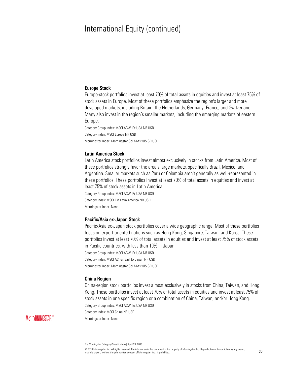#### **Europe Stock**

Europe-stock portfolios invest at least 70% of total assets in equities and invest at least 75% of stock assets in Europe. Most of these portfolios emphasize the region's larger and more developed markets, including Britain, the Netherlands, Germany, France, and Switzerland. Many also invest in the region's smaller markets, including the emerging markets of eastern Europe.

Category Group Index: MSCI ACWI Ex USA NR USD Category Index: MSCI Europe NR USD Morningstar Index: Morningstar Gbl Mkts xUS GR USD

#### **Latin America Stock**

Latin America stock portfolios invest almost exclusively in stocks from Latin America. Most of these portfolios strongly favor the area's large markets, specifically Brazil, Mexico, and Argentina. Smaller markets such as Peru or Colombia aren't generally as well-represented in these portfolios. These portfolios invest at least 70% of total assets in equities and invest at least 75% of stock assets in Latin America.

Category Group Index: MSCI ACWI Ex USA NR USD Category Index: MSCI EM Latin America NR USD Morningstar Index: None

#### **Pacific/Asia ex-Japan Stock**

Pacific/Asia ex-Japan stock portfolios cover a wide geographic range. Most of these portfolios focus on export-oriented nations such as Hong Kong, Singapore, Taiwan, and Korea. These portfolios invest at least 70% of total assets in equities and invest at least 75% of stock assets in Pacific countries, with less than 10% in Japan.

Category Group Index: MSCI ACWI Ex USA NR USD Category Index: MSCI AC Far East Ex Japan NR USD

Morningstar Index: Morningstar Gbl Mkts xUS GR USD

#### **China Region**

China-region stock portfolios invest almost exclusively in stocks from China, Taiwan, and Hong Kong. These portfolios invest at least 70% of total assets in equities and invest at least 75% of stock assets in one specific region or a combination of China, Taiwan, and/or Hong Kong. Category Group Index: MSCI ACWI Ex USA NR USD

Category Index: MSCI China NR USD

Morningstar Index: None

**MORNINGSTAR®** 

The Morningstar Category Classifications| April 29, 2016

<sup>©</sup> 2016 Morningstar, Inc. All rights reserved. The information in this document is the property of Morningstar, Inc. Reproduction or transcription by any means,  $\omega$  zo io wormingstar, inc. An ingins reserved. The imormation in this occurrient is the property or wormingstar, inc. reproduction or transcription by any means,  $30$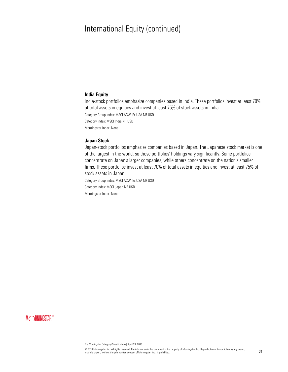#### **India Equity**

India-stock portfolios emphasize companies based in India. These portfolios invest at least 70% of total assets in equities and invest at least 75% of stock assets in India. Category Group Index: MSCI ACWI Ex USA NR USD Category Index: MSCI India NR USD Morningstar Index: None

#### **Japan Stock**

Japan-stock portfolios emphasize companies based in Japan. The Japanese stock market is one of the largest in the world, so these portfolios' holdings vary significantly. Some portfolios concentrate on Japan's larger companies, while others concentrate on the nation's smaller firms. These portfolios invest at least 70% of total assets in equities and invest at least 75% of stock assets in Japan.

Category Group Index: MSCI ACWI Ex USA NR USD

Category Index: MSCI Japan NR USD

Morningstar Index: None

**MORNINGSTAR®**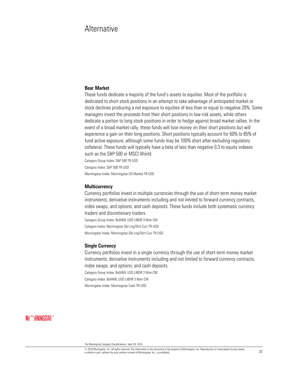# **Alternative**

#### **Bear Market**

These funds dedicate a majority of the fund's assets to equities. Most of the portfolio is dedicated to short stock positions in an attempt to take advantage of anticipated market or stock declines producing a net exposure to equities of less than or equal to negative 20%. Some managers invest the proceeds from their short positions in low-risk assets, while others dedicate a portion to long stock positions in order to hedge against broad market rallies. In the event of a broad market rally, these funds will lose money on their short positions but will experience a gain on their long positions. Short positions typically account for 60% to 85% of fund active exposure, although some funds may be 100% short after excluding regulatory collateral. These funds will typically have a beta of less than negative 0.3 to equity indexes such as the S&P 500 or MSCI World. Category Group Index: S&P 500 TR USD

Category Index: S&P 500 TR USD

Morningstar Index: Morningstar US Market TR USD

#### **Multicurrency**

Currency portfolios invest in multiple currencies through the use of short-term money market instruments; derivative instruments including and not limited to forward currency contracts, index swaps, and options; and cash deposits. These funds include both systematic currency traders and discretionary traders.

Category Group Index: BofAML USD LIBOR 3 Mon CM Category Index: Morningstar Gbl Lng/Shrt Curr TR USD Morningstar Index: Morningstar Gbl Lng/Shrt Curr TR USD

#### **Single Currency**

Currency portfolios invest in a single currency through the use of short-term money market instruments; derivative instruments including and not limited to forward currency contracts, index swaps, and options; and cash deposits.

Category Group Index: BofAML USD LIBOR 3 Mon CM

Category Index: BofAML USD LIBOR 3 Mon CM

Morningstar Index: Morningstar Cash TR USD

### **MORNINGSTAR®**

© 2016 Morningstar, Inc. All rights reserved. The information in this document is the property of Morningstar, Inc. Reproduction or transcription by any means,  $\omega$  zo it withingstar, inc. an ityms reserved. The information in this touculment is the property of Morningstar, inc., is prohibited.  $32$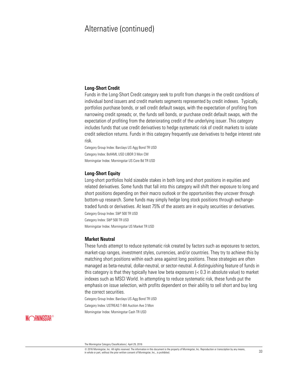#### **Long-Short Credit**

Funds in the Long-Short Credit category seek to profit from changes in the credit conditions of individual bond issuers and credit markets segments represented by credit indexes. Typically, portfolios purchase bonds, or sell credit default swaps, with the expectation of profiting from narrowing credit spreads; or, the funds sell bonds, or purchase credit default swaps, with the expectation of profiting from the deteriorating credit of the underlying issuer. This category includes funds that use credit derivatives to hedge systematic risk of credit markets to isolate credit selection returns. Funds in this category frequently use derivatives to hedge interest rate risk.

Category Group Index: Barclays US Agg Bond TR USD Category Index: BofAML USD LIBOR 3 Mon CM Morningstar Index: Morningstar US Core Bd TR USD

#### **Long-Short Equity**

Long-short portfolios hold sizeable stakes in both long and short positions in equities and related derivatives. Some funds that fall into this category will shift their exposure to long and short positions depending on their macro outlook or the opportunities they uncover through bottom-up research. Some funds may simply hedge long stock positions through exchangetraded funds or derivatives. At least 75% of the assets are in equity securities or derivatives. Category Group Index: S&P 500 TR USD Category Index: S&P 500 TR USD

Morningstar Index: Morningstar US Market TR USD

#### **Market Neutral**

These funds attempt to reduce systematic risk created by factors such as exposures to sectors, market-cap ranges, investment styles, currencies, and/or countries. They try to achieve this by matching short positions within each area against long positions. These strategies are often managed as beta-neutral, dollar-neutral, or sector-neutral. A distinguishing feature of funds in this category is that they typically have low beta exposures (< 0.3 in absolute value) to market indexes such as MSCI World. In attempting to reduce systematic risk, these funds put the emphasis on issue selection, with profits dependent on their ability to sell short and buy long the correct securities.

Category Group Index: Barclays US Agg Bond TR USD Category Index: USTREAS T-Bill Auction Ave 3 Mon

Morningstar Index: Morningstar Cash TR USD

### **MORNINGSTAR®**

© 2016 Morningstar, Inc. All rights reserved. The information in this document is the property of Morningstar, Inc. Reproduction or transcription by any means, with one of the primary of the prior with the proceduct the material continent is une property or withingstar, inc. reproduction or datisciplion by any means, 33 and the prior written consent of Morningstar, Inc., is prohi

The Morningstar Category Classifications| April 29, 2016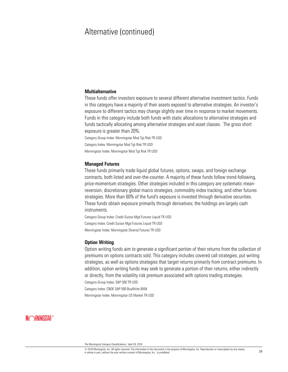#### **Multialternative**

These funds offer investors exposure to several different alternative investment tactics. Funds in this category have a majority of their assets exposed to alternative strategies. An investor's exposure to different tactics may change slightly over time in response to market movements. Funds in this category include both funds with static allocations to alternative strategies and funds tactically allocating among alternative strategies and asset classes. The gross short exposure is greater than 20%.

Category Group Index: Morningstar Mod Tgt Risk TR USD Category Index: Morningstar Mod Tgt Risk TR USD Morningstar Index: Morningstar Mod Tgt Risk TR USD

#### **Managed Futures**

These funds primarily trade liquid global futures, options, swaps, and foreign exchange contracts, both listed and over-the-counter. A majority of these funds follow trend-following, price-momentum strategies. Other strategies included in this category are systematic meanreversion, discretionary global macro strategies, commodity index tracking, and other futures strategies. More than 60% of the fund's exposure is invested through derivative securities. These funds obtain exposure primarily through derivatives; the holdings are largely cash instruments.

Category Group Index: Credit Suisse Mgd Futures Liquid TR USD Category Index: Credit Suisse Mgd Futures Liquid TR USD Morningstar Index: Morningstar Diversd Futures TR USD

#### **Option Writing**

Option writing funds aim to generate a significant portion of their returns from the collection of premiums on options contracts sold. This category includes covered call strategies, put writing strategies, as well as options strategies that target returns primarily from contract premiums. In addition, option writing funds may seek to generate a portion of their returns, either indirectly or directly, from the volatility risk premium associated with options trading strategies. Category Group Index: S&P 500 TR USD

Category Index: CBOE S&P 500 BuyWrite BXM

Morningstar Index: Morningstar US Market TR USD

### **MORNINGSTAR®**

© 2016 Morningstar, Inc. All rights reserved. The information in this document is the property of Morningstar, Inc. Reproduction or transcription by any means,  $\omega$  zo to morningstar, inc. An ingitis reserved. The information in this occurrent is the property or morningstar, inc. reproduction or transcription by any means,  $34$ 

The Morningstar Category Classifications| April 29, 2016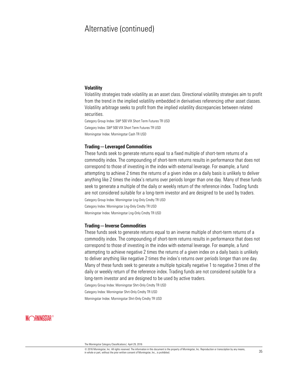#### **Volatility**

Volatility strategies trade volatility as an asset class. Directional volatility strategies aim to profit from the trend in the implied volatility embedded in derivatives referencing other asset classes. Volatility arbitrage seeks to profit from the implied volatility discrepancies between related securities.

Category Group Index: S&P 500 VIX Short Term Futures TR USD Category Index: S&P 500 VIX Short Term Futures TR USD Morningstar Index: Morningstar Cash TR USD

#### **Trading—Leveraged Commodities**

These funds seek to generate returns equal to a fixed multiple of short-term returns of a commodity index. The compounding of short-term returns results in performance that does not correspond to those of investing in the index with external leverage. For example, a fund attempting to achieve 2 times the returns of a given index on a daily basis is unlikely to deliver anything like 2 times the index's returns over periods longer than one day. Many of these funds seek to generate a multiple of the daily or weekly return of the reference index. Trading funds are not considered suitable for a long-term investor and are designed to be used by traders. Category Group Index: Morningstar Lng-Only Cmdty TR USD Category Index: Morningstar Lng-Only Cmdty TR USD

Morningstar Index: Morningstar Lng-Only Cmdty TR USD

#### **Trading—Inverse Commodities**

These funds seek to generate returns equal to an inverse multiple of short-term returns of a commodity index. The compounding of short-term returns results in performance that does not correspond to those of investing in the index with external leverage. For example, a fund attempting to achieve negative 2 times the returns of a given index on a daily basis is unlikely to deliver anything like negative 2 times the index's returns over periods longer than one day. Many of these funds seek to generate a multiple typically negative 1 to negative 3 times of the daily or weekly return of the reference index. Trading funds are not considered suitable for a long-term investor and are designed to be used by active traders.

Category Group Index: Morningstar Shrt-Only Cmdty TR USD

Category Index: Morningstar Shrt-Only Cmdty TR USD

Morningstar Index: Morningstar Shrt-Only Cmdty TR USD

### **MORNINGSTAR®**

© 2016 Morningstar, Inc. All rights reserved. The information in this document is the property of Morningstar, Inc. Reproduction or transcription by any means,  $\omega$  zo io wormingstar, inc. An ingins reserved. The imormation in this occurrient is the property or wormingstar, inc. reproduction or transcription by any means,  $35$ 

The Morningstar Category Classifications| April 29, 2016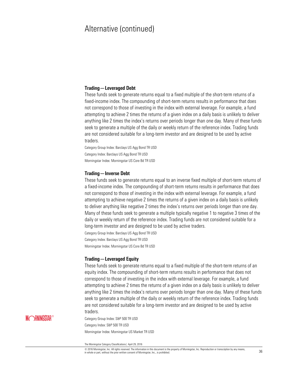#### **Trading—Leveraged Debt**

These funds seek to generate returns equal to a fixed multiple of the short-term returns of a fixed-income index. The compounding of short-term returns results in performance that does not correspond to those of investing in the index with external leverage. For example, a fund attempting to achieve 2 times the returns of a given index on a daily basis is unlikely to deliver anything like 2 times the index's returns over periods longer than one day. Many of these funds seek to generate a multiple of the daily or weekly return of the reference index. Trading funds are not considered suitable for a long-term investor and are designed to be used by active traders.

Category Group Index: Barclays US Agg Bond TR USD Category Index: Barclays US Agg Bond TR USD Morningstar Index: Morningstar US Core Bd TR USD

#### **Trading—Inverse Debt**

These funds seek to generate returns equal to an inverse fixed multiple of short-term returns of a fixed-income index. The compounding of short-term returns results in performance that does not correspond to those of investing in the index with external leverage. For example, a fund attempting to achieve negative 2 times the returns of a given index on a daily basis is unlikely to deliver anything like negative 2 times the index's returns over periods longer than one day. Many of these funds seek to generate a multiple typically negative 1 to negative 3 times of the daily or weekly return of the reference index. Trading funds are not considered suitable for a long-term investor and are designed to be used by active traders.

Category Group Index: Barclays US Agg Bond TR USD Category Index: Barclays US Agg Bond TR USD Morningstar Index: Morningstar US Core Bd TR USD

#### **Trading—Leveraged Equity**

These funds seek to generate returns equal to a fixed multiple of the short-term returns of an equity index. The compounding of short-term returns results in performance that does not correspond to those of investing in the index with external leverage. For example, a fund attempting to achieve 2 times the returns of a given index on a daily basis is unlikely to deliver anything like 2 times the index's returns over periods longer than one day. Many of these funds seek to generate a multiple of the daily or weekly return of the reference index. Trading funds are not considered suitable for a long-term investor and are designed to be used by active traders.

Category Group Index: S&P 500 TR USD Category Index: S&P 500 TR USD Morningstar Index: Morningstar US Market TR USD

The Morningstar Category Classifications| April 29, 2016

© 2016 Morningstar, Inc. All rights reserved. The information in this document is the property of Morningstar, Inc. Reproduction or transcription by any means,  $\omega$  zo io wormingstar, inc. An ingins reserved. The information in this occurrent is the property or wormingstar, inc. reproduction or transcription by any means,  $36$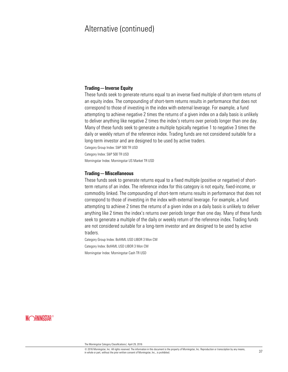#### **Trading—Inverse Equity**

These funds seek to generate returns equal to an inverse fixed multiple of short-term returns of an equity index. The compounding of short-term returns results in performance that does not correspond to those of investing in the index with external leverage. For example, a fund attempting to achieve negative 2 times the returns of a given index on a daily basis is unlikely to deliver anything like negative 2 times the index's returns over periods longer than one day. Many of these funds seek to generate a multiple typically negative 1 to negative 3 times the daily or weekly return of the reference index. Trading funds are not considered suitable for a long-term investor and are designed to be used by active traders.

Category Group Index: S&P 500 TR USD

Category Index: S&P 500 TR USD

Morningstar Index: Morningstar US Market TR USD

#### **Trading—Miscellaneous**

These funds seek to generate returns equal to a fixed multiple (positive or negative) of shortterm returns of an index. The reference index for this category is not equity, fixed-income, or commodity linked. The compounding of short-term returns results in performance that does not correspond to those of investing in the index with external leverage. For example, a fund attempting to achieve 2 times the returns of a given index on a daily basis is unlikely to deliver anything like 2 times the index's returns over periods longer than one day. Many of these funds seek to generate a multiple of the daily or weekly return of the reference index. Trading funds are not considered suitable for a long-term investor and are designed to be used by active traders.

Category Group Index: BofAML USD LIBOR 3 Mon CM Category Index: BofAML USD LIBOR 3 Mon CM Morningstar Index: Morningstar Cash TR USD

**MORNINGSTAR®** 

© 2016 Morningstar, Inc. All rights reserved. The information in this document is the property of Morningstar, Inc. Reproduction or transcription by any means,  $\omega$  zo to morningstar, inc. An ingitis reserved. The information in this occurrent is the property or morningstar, inc. reproduction or transcription by any means,  $37$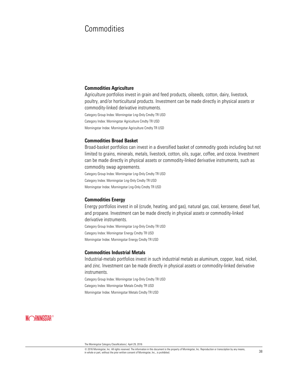# Commodities

#### **Commodities Agriculture**

Agriculture portfolios invest in grain and feed products, oilseeds, cotton, dairy, livestock, poultry, and/or horticultural products. Investment can be made directly in physical assets or commodity-linked derivative instruments.

Category Group Index: Morningstar Lng-Only Cmdty TR USD

Category Index: Morningstar Agriculture Cmdty TR USD

Morningstar Index: Morningstar Agriculture Cmdty TR USD

#### **Commodities Broad Basket**

Broad-basket portfolios can invest in a diversified basket of commodity goods including but not limited to grains, minerals, metals, livestock, cotton, oils, sugar, coffee, and cocoa. Investment can be made directly in physical assets or commodity-linked derivative instruments, such as commodity swap agreements.

Category Group Index: Morningstar Lng-Only Cmdty TR USD Category Index: Morningstar Lng-Only Cmdty TR USD Morningstar Index: Morningstar Lng-Only Cmdty TR USD

#### **Commodities Energy**

Energy portfolios invest in oil (crude, heating, and gas), natural gas, coal, kerosene, diesel fuel, and propane. Investment can be made directly in physical assets or commodity-linked derivative instruments.

Category Group Index: Morningstar Lng-Only Cmdty TR USD Category Index: Morningstar Energy Cmdty TR USD Morningstar Index: Morningstar Energy Cmdty TR USD

#### **Commodities Industrial Metals**

Industrial-metals portfolios invest in such industrial metals as aluminum, copper, lead, nickel, and zinc. Investment can be made directly in physical assets or commodity-linked derivative instruments.

Category Group Index: Morningstar Lng-Only Cmdty TR USD Category Index: Morningstar Metals Cmdty TR USD

Morningstar Index: Morningstar Metals Cmdty TR USD

The Morningstar Category Classifications| April 29, 2016

<sup>©</sup> 2016 Morningstar, Inc. All rights reserved. The information in this document is the property of Morningstar, Inc. Reproduction or transcription by any means,  $\omega$  zo to morningstar, inc. An ingitis reserved. The information in this occurrent is the property or morningstar, inc. reproduction or transcription by any means,  $38$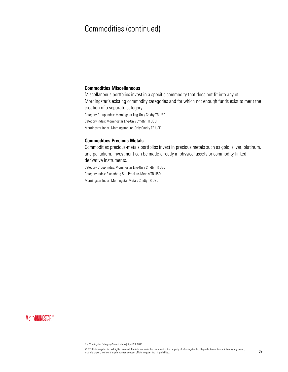# Commodities (continued)

#### **Commodities Miscellaneous**

Miscellaneous portfolios invest in a specific commodity that does not fit into any of Morningstar's existing commodity categories and for which not enough funds exist to merit the creation of a separate category. Category Group Index: Morningstar Lng-Only Cmdty TR USD

Category Index: Morningstar Lng-Only Cmdty TR USD

Morningstar Index: Morningstar Lng-Only Cmdty ER USD

#### **Commodities Precious Metals**

Commodities precious-metals portfolios invest in precious metals such as gold, silver, platinum, and palladium. Investment can be made directly in physical assets or commodity-linked derivative instruments.

Category Group Index: Morningstar Lng-Only Cmdty TR USD Category Index: Bloomberg Sub Precious Metals TR USD

Morningstar Index: Morningstar Metals Cmdty TR USD

### **MORNINGSTAR®**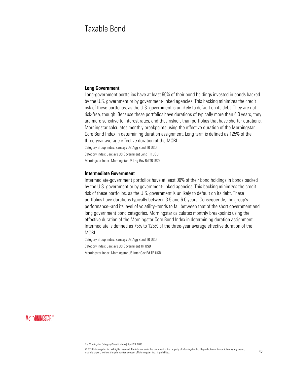# Taxable Bond

#### **Long Government**

Long-government portfolios have at least 90% of their bond holdings invested in bonds backed by the U.S. government or by government-linked agencies. This backing minimizes the credit risk of these portfolios, as the U.S. government is unlikely to default on its debt. They are not risk-free, though. Because these portfolios have durations of typically more than 6.0 years, they are more sensitive to interest rates, and thus riskier, than portfolios that have shorter durations. Morningstar calculates monthly breakpoints using the effective duration of the Morningstar Core Bond Index in determining duration assignment. Long term is defined as 125% of the three-year average effective duration of the MCBI.

Category Group Index: Barclays US Agg Bond TR USD

Category Index: Barclays US Government Long TR USD

Morningstar Index: Morningstar US Lng Gov Bd TR USD

#### **Intermediate Government**

Intermediate-government portfolios have at least 90% of their bond holdings in bonds backed by the U.S. government or by government-linked agencies. This backing minimizes the credit risk of these portfolios, as the U.S. government is unlikely to default on its debt. These portfolios have durations typically between 3.5 and 6.0 years. Consequently, the group's performance--and its level of volatility--tends to fall between that of the short government and long government bond categories. Morningstar calculates monthly breakpoints using the effective duration of the Morningstar Core Bond Index in determining duration assignment. Intermediate is defined as 75% to 125% of the three-year average effective duration of the MCBI.

Category Group Index: Barclays US Agg Bond TR USD Category Index: Barclays US Government TR USD Morningstar Index: Morningstar US Inter Gov Bd TR USD

**MORNINGSTAR®** 

© 2016 Morningstar, Inc. All rights reserved. The information in this document is the property of Morningstar, Inc. Reproduction or transcription by any means,  $\omega$  zo ro wormingstar, inc. An ingins reserved. The information in this occurrent is the property or wormingstar, inc. reproduction or transcription by any means,  $40$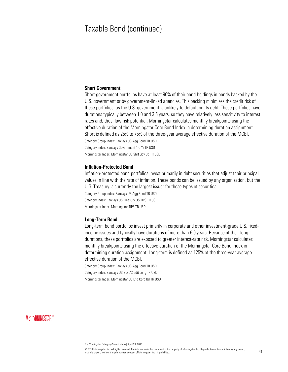#### **Short Government**

Short-government portfolios have at least 90% of their bond holdings in bonds backed by the U.S. government or by government-linked agencies. This backing minimizes the credit risk of these portfolios, as the U.S. government is unlikely to default on its debt. These portfolios have durations typically between 1.0 and 3.5 years, so they have relatively less sensitivity to interest rates and, thus, low risk potential. Morningstar calculates monthly breakpoints using the effective duration of the Morningstar Core Bond Index in determining duration assignment. Short is defined as 25% to 75% of the three-year average effective duration of the MCBI. Category Group Index: Barclays US Agg Bond TR USD Category Index: Barclays Government 1-5 Yr TR USD Morningstar Index: Morningstar US Shrt Gov Bd TR USD

#### **Inflation-Protected Bond**

Inflation-protected bond portfolios invest primarily in debt securities that adjust their principal values in line with the rate of inflation. These bonds can be issued by any organization, but the U.S. Treasury is currently the largest issuer for these types of securities.

Category Group Index: Barclays US Agg Bond TR USD Category Index: Barclays US Treasury US TIPS TR USD Morningstar Index: Morningstar TIPS TR USD

#### **Long-Term Bond**

Long-term bond portfolios invest primarily in corporate and other investment-grade U.S. fixedincome issues and typically have durations of more than 6.0 years. Because of their long durations, these portfolios are exposed to greater interest-rate risk. Morningstar calculates monthly breakpoints using the effective duration of the Morningstar Core Bond Index in determining duration assignment. Long-term is defined as 125% of the three-year average effective duration of the MCBI.

Category Group Index: Barclays US Agg Bond TR USD Category Index: Barclays US Govt/Credit Long TR USD Morningstar Index: Morningstar US Lng Corp Bd TR USD

### **MORNINGSTAR®**

© 2016 Morningstar, Inc. All rights reserved. The information in this document is the property of Morningstar, Inc. Reproduction or transcription by any means,  $\omega$  zo ro wonningstar, inc. An ingitial reservent. The motionation in this uoculinearch stare property or with interpretation or transcription by any incaris,  $41$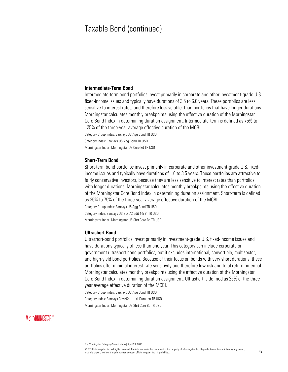#### **Intermediate-Term Bond**

Intermediate-term bond portfolios invest primarily in corporate and other investment-grade U.S. fixed-income issues and typically have durations of 3.5 to 6.0 years. These portfolios are less sensitive to interest rates, and therefore less volatile, than portfolios that have longer durations. Morningstar calculates monthly breakpoints using the effective duration of the Morningstar Core Bond Index in determining duration assignment. Intermediate-term is defined as 75% to 125% of the three-year average effective duration of the MCBI.

Category Group Index: Barclays US Agg Bond TR USD Category Index: Barclays US Agg Bond TR USD Morningstar Index: Morningstar US Core Bd TR USD

#### **Short-Term Bond**

Short-term bond portfolios invest primarily in corporate and other investment-grade U.S. fixedincome issues and typically have durations of 1.0 to 3.5 years. These portfolios are attractive to fairly conservative investors, because they are less sensitive to interest rates than portfolios with longer durations. Morningstar calculates monthly breakpoints using the effective duration of the Morningstar Core Bond Index in determining duration assignment. Short-term is defined as 25% to 75% of the three-year average effective duration of the MCBI.

Category Group Index: Barclays US Agg Bond TR USD Category Index: Barclays US Govt/Credit 1-5 Yr TR USD Morningstar Index: Morningstar US Shrt Core Bd TR USD

#### **Ultrashort Bond**

Ultrashort-bond portfolios invest primarily in investment-grade U.S. fixed-income issues and have durations typically of less than one year. This category can include corporate or government ultrashort bond portfolios, but it excludes international, convertible, multisector, and high-yield bond portfolios. Because of their focus on bonds with very short durations, these portfolios offer minimal interest-rate sensitivity and therefore low risk and total return potential. Morningstar calculates monthly breakpoints using the effective duration of the Morningstar Core Bond Index in determining duration assignment. Ultrashort is defined as 25% of the threeyear average effective duration of the MCBI.

Category Group Index: Barclays US Agg Bond TR USD Category Index: Barclays Govt/Corp 1 Yr Duration TR USD Morningstar Index: Morningstar US Shrt Core Bd TR USD

The Morningstar Category Classifications| April 29, 2016

<sup>©</sup> 2016 Morningstar, Inc. All rights reserved. The information in this document is the property of Morningstar, Inc. Reproduction or transcription by any means,  $\omega$  zo to morningstar, inc. An ingitis reserved. The information in this occurrent is the property or morningstar, inc. reproduction or transcription by any means,  $42$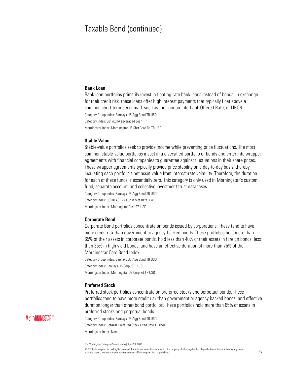#### **Bank Loan**

Bank-loan portfolios primarily invest in floating-rate bank loans instead of bonds. In exchange for their credit risk, these loans offer high interest payments that typically float above a common short-term benchmark such as the London Interbank Offered Rate, or LIBOR. Category Group Index: Barclays US Agg Bond TR USD Category Index: S&P/LSTA Leveraged Loan TR

Morningstar Index: Morningstar US Shrt Core Bd TR USD

#### **Stable Value**

Stable-value portfolios seek to provide income while preventing price fluctuations. The most common stable-value portfolios invest in a diversified portfolio of bonds and enter into wrapper agreements with financial companies to guarantee against fluctuations in their share prices. These wrapper agreements typically provide price stability on a day-to-day basis, thereby insulating each portfolio's net asset value from interest-rate volatility. Therefore, the duration for each of these funds is essentially zero. This category is only used in Morningstar's custom fund, separate account, and collective investment trust databases.

Category Group Index: Barclays US Agg Bond TR USD Category Index: USTREAS T-Bill Cnst Mat Rate 3 Yr Morningstar Index: Morningstar Cash TR USD

#### **Corporate Bond**

Corporate Bond portfolios concentrate on bonds issued by corporations. These tend to have more credit risk than government or agency-backed bonds. These portfolios hold more than 65% of their assets in corporate bonds, hold less than 40% of their assets in foreign bonds, less than 35% in high yield bonds, and have an effective duration of more than 75% of the Morningstar Core Bond Index.

Category Group Index: Barclays US Agg Bond TR USD Category Index: Barclays US Corp IG TR USD Morningstar Index: Morningstar US Corp Bd TR USD

#### **Preferred Stock**

Preferred stock portfolios concentrate on preferred stocks and perpetual bonds. These portfolios tend to have more credit risk than government or agency backed bonds, and effective duration longer than other bond portfolios. These portfolios hold more than 65% of assets in preferred stocks and perpetual bonds.

Category Group Index: Barclays US Agg Bond TR USD Category Index: BofAML Preferred Stock Fixed Rate TR USD Morningstar Index: None

The Morningstar Category Classifications| April 29, 2016

© 2016 Morningstar, Inc. All rights reserved. The information in this document is the property of Morningstar, Inc. Reproduction or transcription by any means,  $\omega$  zo to morningstar, inc. An ingitis reserved. The information in this occurrent is the property or morningstar, inc. reproduction or transcription by any means,  $43$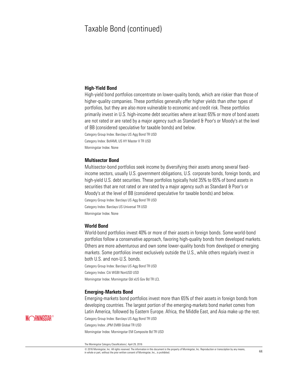#### **High-Yield Bond**

High-yield bond portfolios concentrate on lower-quality bonds, which are riskier than those of higher-quality companies. These portfolios generally offer higher yields than other types of portfolios, but they are also more vulnerable to economic and credit risk. These portfolios primarily invest in U.S. high-income debt securities where at least 65% or more of bond assets are not rated or are rated by a major agency such as Standard & Poor's or Moody's at the level of BB (considered speculative for taxable bonds) and below.

Category Group Index: Barclays US Agg Bond TR USD Category Index: BofAML US HY Master II TR USD Morningstar Index: None

#### **Multisector Bond**

Multisector-bond portfolios seek income by diversifying their assets among several fixedincome sectors, usually U.S. government obligations, U.S. corporate bonds, foreign bonds, and high-yield U.S. debt securities. These portfolios typically hold 35% to 65% of bond assets in securities that are not rated or are rated by a major agency such as Standard & Poor's or Moody's at the level of BB (considered speculative for taxable bonds) and below. Category Group Index: Barclays US Agg Bond TR USD Category Index: Barclays US Universal TR USD Morningstar Index: None

#### **World Bond**

World-bond portfolios invest 40% or more of their assets in foreign bonds. Some world-bond portfolios follow a conservative approach, favoring high-quality bonds from developed markets. Others are more adventurous and own some lower-quality bonds from developed or emerging markets. Some portfolios invest exclusively outside the U.S., while others regularly invest in both U.S. and non-U.S. bonds.

Category Group Index: Barclays US Agg Bond TR USD Category Index: Citi WGBI NonUSD USD Morningstar Index: Morningstar Gbl xUS Gov Bd TR LCL

#### **Emerging-Markets Bond**

Emerging-markets bond portfolios invest more than 65% of their assets in foreign bonds from developing countries. The largest portion of the emerging-markets bond market comes from Latin America, followed by Eastern Europe. Africa, the Middle East, and Asia make up the rest. Category Group Index: Barclays US Agg Bond TR USD Category Index: JPM EMBI Global TR USD

Morningstar Index: Morningstar EM Composite Bd TR USD

The Morningstar Category Classifications| April 29, 2016

<sup>©</sup> 2016 Morningstar, Inc. All rights reserved. The information in this document is the property of Morningstar, Inc. Reproduction or transcription by any means,  $\omega$  zo ro wonningstar, inc. All magnes reserved. The monination in this uoculinearch strep population of the property of Morningstar, Inc., is prohibited.  $44$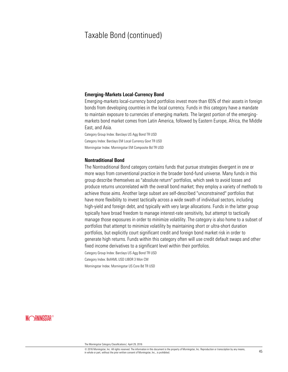#### **Emerging-Markets Local-Currency Bond**

Emerging-markets local-currency bond portfolios invest more than 65% of their assets in foreign bonds from developing countries in the local currency. Funds in this category have a mandate to maintain exposure to currencies of emerging markets. The largest portion of the emergingmarkets bond market comes from Latin America, followed by Eastern Europe, Africa, the Middle East, and Asia.

Category Group Index: Barclays US Agg Bond TR USD Category Index: Barclays EM Local Currency Govt TR USD Morningstar Index: Morningstar EM Composite Bd TR USD

#### **Nontraditional Bond**

The Nontraditional Bond category contains funds that pursue strategies divergent in one or more ways from conventional practice in the broader bond-fund universe. Many funds in this group describe themselves as "absolute return" portfolios, which seek to avoid losses and produce returns uncorrelated with the overall bond market; they employ a variety of methods to achieve those aims. Another large subset are self-described "unconstrained" portfolios that have more flexibility to invest tactically across a wide swath of individual sectors, including high-yield and foreign debt, and typically with very large allocations. Funds in the latter group typically have broad freedom to manage interest-rate sensitivity, but attempt to tactically manage those exposures in order to minimize volatility. The category is also home to a subset of portfolios that attempt to minimize volatility by maintaining short or ultra-short duration portfolios, but explicitly court significant credit and foreign bond market risk in order to generate high returns. Funds within this category often will use credit default swaps and other fixed income derivatives to a significant level within their portfolios.

Category Group Index: Barclays US Agg Bond TR USD Category Index: BofAML USD LIBOR 3 Mon CM

Morningstar Index: Morningstar US Core Bd TR USD

**MORNINGSTAR®** 

© 2016 Morningstar, Inc. All rights reserved. The information in this document is the property of Morningstar, Inc. Reproduction or transcription by any means,  $\omega$  zo io wormingstar, inc. An ingins reserved. The information in this occurrent is the property or wormingstar, inc. reproduction or datiscription by any means,  $45$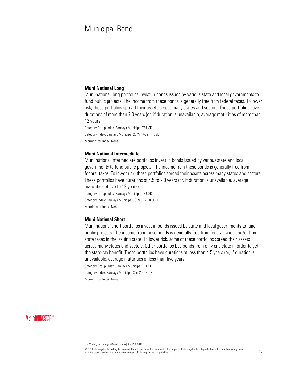# Municipal Bond

#### **Muni National Long**

Muni national long portfolios invest in bonds issued by various state and local governments to fund public projects. The income from these bonds is generally free from federal taxes. To lower risk, these portfolios spread their assets across many states and sectors. These portfolios have durations of more than 7.0 years (or, if duration is unavailable, average maturities of more than 12 years).

Category Group Index: Barclays Municipal TR USD Category Index: Barclays Municipal 20 Yr 17-22 TR USD Morningstar Index: None

#### **Muni National Intermediate**

Muni national intermediate portfolios invest in bonds issued by various state and local governments to fund public projects. The income from these bonds is generally free from federal taxes. To lower risk, these portfolios spread their assets across many states and sectors. These portfolios have durations of 4.5 to 7.0 years (or, if duration is unavailable, average maturities of five to 12 years).

Category Group Index: Barclays Municipal TR USD Category Index: Barclays Municipal 10 Yr 8-12 TR USD Morningstar Index: None

#### **Muni National Short**

Muni national short portfolios invest in bonds issued by state and local governments to fund public projects. The income from these bonds is generally free from federal taxes and/or from state taxes in the issuing state. To lower risk, some of these portfolios spread their assets across many states and sectors. Other portfolios buy bonds from only one state in order to get the state-tax benefit. These portfolios have durations of less than 4.5 years (or, if duration is unavailable, average maturities of less than five years).

Category Group Index: Barclays Municipal TR USD

Category Index: Barclays Municipal 3 Yr 2-4 TR USD Morningstar Index: None

### **MORNINGSTAR®**

© 2016 Morningstar, Inc. All rights reserved. The information in this document is the property of Morningstar, Inc. Reproduction or transcription by any means,  $\le$  20 to wormingstar, inc. An ingitial reservent. The motionation in this uoculinearch stare property or with impurities the property of morningstar, inc., is prohibited.  $46$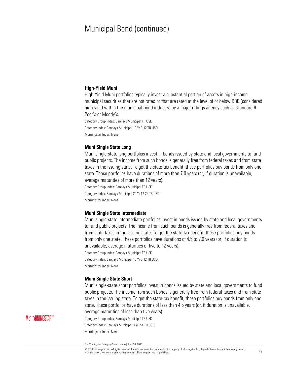#### **High-Yield Muni**

High-Yield Muni portfolios typically invest a substantial portion of assets in high-income municipal securities that are not rated or that are rated at the level of or below BBB (considered high-yield within the municipal-bond industry) by a major ratings agency such as Standard & Poor's or Moody's.

Category Group Index: Barclays Municipal TR USD Category Index: Barclays Municipal 10 Yr 8-12 TR USD Morningstar Index: None

#### **Muni Single State Long**

Muni single-state long portfolios invest in bonds issued by state and local governments to fund public projects. The income from such bonds is generally free from federal taxes and from state taxes in the issuing state. To get the state-tax benefit, these portfolios buy bonds from only one state. These portfolios have durations of more than 7.0 years (or, if duration is unavailable, average maturities of more than 12 years).

Category Group Index: Barclays Municipal TR USD Category Index: Barclays Municipal 20 Yr 17-22 TR USD Morningstar Index: None

#### **Muni Single State Intermediate**

Muni single-state intermediate portfolios invest in bonds issued by state and local governments to fund public projects. The income from such bonds is generally free from federal taxes and from state taxes in the issuing state. To get the state-tax benefit, these portfolios buy bonds from only one state. These portfolios have durations of 4.5 to 7.0 years (or, if duration is unavailable, average maturities of five to 12 years).

Category Group Index: Barclays Municipal TR USD Category Index: Barclays Municipal 10 Yr 8-12 TR USD Morningstar Index: None

#### **Muni Single State Short**

Muni single-state short portfolios invest in bonds issued by state and local governments to fund public projects. The income from such bonds is generally free from federal taxes and from state taxes in the issuing state. To get the state-tax benefit, these portfolios buy bonds from only one state. These portfolios have durations of less than 4.5 years (or, if duration is unavailable, average maturities of less than five years).

Category Group Index: Barclays Municipal TR USD Category Index: Barclays Municipal 3 Yr 2-4 TR USD Morningstar Index: None

The Morningstar Category Classifications| April 29, 2016

© 2016 Morningstar, Inc. All rights reserved. The information in this document is the property of Morningstar, Inc. Reproduction or transcription by any means,  $\omega$  zo to wormingstar, inc. An ingitis reserved. The information in this occurrent is the property or wormingstar, inc. reproduction or transcription by any means,  $47$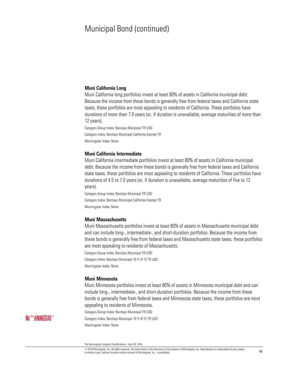#### **Muni California Long**

Muni California long portfolios invest at least 80% of assets in California municipal debt. Because the income from these bonds is generally free from federal taxes and California state taxes, these portfolios are most appealing to residents of California. These portfolios have durations of more than 7.0 years (or, if duration is unavailable, average maturities of more than 12 years).

Category Group Index: Barclays Municipal TR USD Category Index: Barclays Municipal California Exempt TR Morningstar Index: None

#### **Muni California Intermediate**

Muni California intermediate portfolios invest at least 80% of assets in California municipal debt. Because the income from these bonds is generally free from federal taxes and California state taxes, these portfolios are most appealing to residents of California. These portfolios have durations of 4.5 to 7.0 years (or, if duration is unavailable, average maturities of five to 12 years).

Category Group Index: Barclays Municipal TR USD Category Index: Barclays Municipal California Exempt TR Morningstar Index: None

#### **Muni Massachusetts**

Muni Massachusetts portfolios invest at least 80% of assets in Massachusetts municipal debt and can include long-, intermediate-, and short-duration portfolios. Because the income from these bonds is generally free from federal taxes and Massachusetts state taxes, these portfolios are most appealing to residents of Massachusetts.

Category Group Index: Barclays Municipal TR USD Category Index: Barclays Municipal 10 Yr 8-12 TR USD Morningstar Index: None

#### **Muni Minnesota**

Muni Minnesota portfolios invest at least 80% of assets in Minnesota municipal debt and can include long-, intermediate-, and short-duration portfolios. Because the income from these bonds is generally free from federal taxes and Minnesota state taxes, these portfolios are most appealing to residents of Minnesota.

Category Group Index: Barclays Municipal TR USD Category Index: Barclays Municipal 10 Yr 8-12 TR USD Morningstar Index: None

The Morningstar Category Classifications| April 29, 2016

© 2016 Morningstar, Inc. All rights reserved. The information in this document is the property of Morningstar, Inc. Reproduction or transcription by any means,  $\le$  20 to wormingstar, inc. An ingitial reservent. The motionation in this uoculinearch stare property or with impurities the property of morningstar, inc., is prohibited.  $48$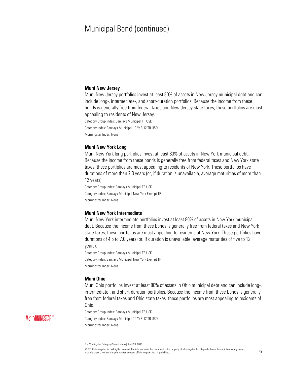#### **Muni New Jersey**

Muni New Jersey portfolios invest at least 80% of assets in New Jersey municipal debt and can include long-, intermediate-, and short-duration portfolios. Because the income from these bonds is generally free from federal taxes and New Jersey state taxes, these portfolios are most appealing to residents of New Jersey.

Category Group Index: Barclays Municipal TR USD

Category Index: Barclays Municipal 10 Yr 8-12 TR USD

Morningstar Index: None

#### **Muni New York Long**

Muni New York long portfolios invest at least 80% of assets in New York municipal debt. Because the income from these bonds is generally free from federal taxes and New York state taxes, these portfolios are most appealing to residents of New York. These portfolios have durations of more than 7.0 years (or, if duration is unavailable, average maturities of more than 12 years).

Category Group Index: Barclays Municipal TR USD Category Index: Barclays Municipal New York Exempt TR Morningstar Index: None

#### **Muni New York Intermediate**

Muni New York intermediate portfolios invest at least 80% of assets in New York municipal debt. Because the income from these bonds is generally free from federal taxes and New York state taxes, these portfolios are most appealing to residents of New York. These portfolios have durations of 4.5 to 7.0 years (or, if duration is unavailable, average maturities of five to 12 years).

Category Group Index: Barclays Municipal TR USD Category Index: Barclays Municipal New York Exempt TR Morningstar Index: None

#### **Muni Ohio**

Muni Ohio portfolios invest at least 80% of assets in Ohio municipal debt and can include long-, intermediate-, and short-duration portfolios. Because the income from these bonds is generally free from federal taxes and Ohio state taxes, these portfolios are most appealing to residents of Ohio.

Category Group Index: Barclays Municipal TR USD Category Index: Barclays Municipal 10 Yr 8-12 TR USD Morningstar Index: None

© 2016 Morningstar, Inc. All rights reserved. The information in this document is the property of Morningstar, Inc. Reproduction or transcription by any means,  $\omega$  zo to wormingstar, inc. An ingitis reserved. The information in this occurrent is the property or wormingstar, inc. reproduction or transcription by any means,  $49$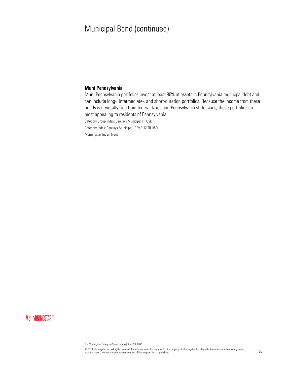#### **Muni Pennsylvania**

Muni Pennsylvania portfolios invest at least 80% of assets in Pennsylvania municipal debt and can include long-, intermediate-, and short-duration portfolios. Because the income from these bonds is generally free from federal taxes and Pennsylvania state taxes, these portfolios are most appealing to residents of Pennsylvania.

Category Group Index: Barclays Municipal TR USD

Category Index: Barclays Municipal 10 Yr 8-12 TR USD

Morningstar Index: None

### **MORNINGSTAR®**